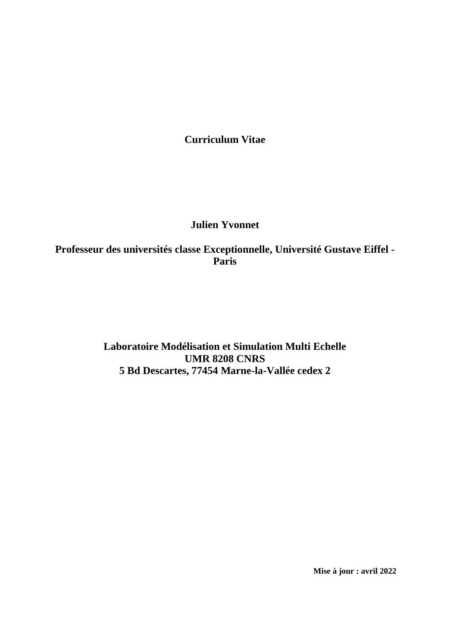**Curriculum Vitae**

# **Julien Yvonnet**

**Professeur des universités classe Exceptionnelle, Université Gustave Eiffel - Paris**

> **Laboratoire Modélisation et Simulation Multi Echelle UMR 8208 CNRS 5 Bd Descartes, 77454 Marne-la-Vallée cedex 2**

> > **Mise à jour : avril 2022**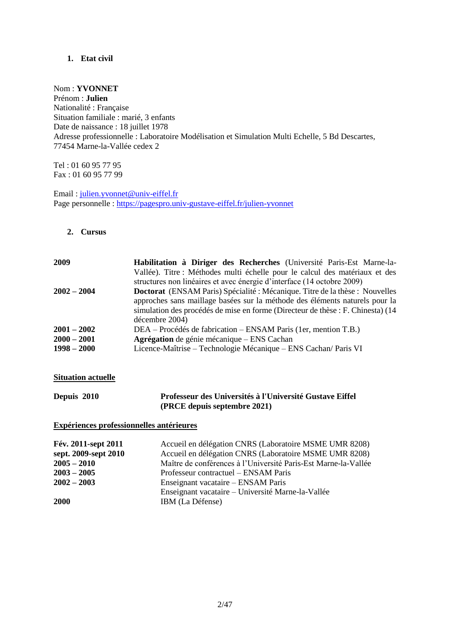## **1. Etat civil**

## Nom : **YVONNET**

Prénom : **Julien** Nationalité : Française Situation familiale : marié, 3 enfants Date de naissance : 18 juillet 1978 Adresse professionnelle : Laboratoire Modélisation et Simulation Multi Echelle, 5 Bd Descartes, 77454 Marne-la-Vallée cedex 2

Tel : 01 60 95 77 95 Fax : 01 60 95 77 99

Email [: julien.yvonnet@univ-eiffel.fr](mailto:julien.yvonnet@univ-eiffel.fr) Page personnelle :<https://pagespro.univ-gustave-eiffel.fr/julien-yvonnet>

#### **2. Cursus**

| 2009          | Habilitation à Diriger des Recherches (Université Paris-Est Marne-la-               |
|---------------|-------------------------------------------------------------------------------------|
|               | Vallée). Titre : Méthodes multi échelle pour le calcul des matériaux et des         |
|               | structures non linéaires et avec énergie d'interface (14 octobre 2009)              |
| $2002 - 2004$ | <b>Doctorat</b> (ENSAM Paris) Spécialité : Mécanique. Titre de la thèse : Nouvelles |
|               | approches sans maillage basées sur la méthode des éléments naturels pour la         |
|               | simulation des procédés de mise en forme (Directeur de thèse : F. Chinesta) (14     |
|               | décembre 2004)                                                                      |
| $2001 - 2002$ | DEA – Procédés de fabrication – ENSAM Paris (1er, mention T.B.)                     |
| $2000 - 2001$ | Agrégation de génie mécanique – ENS Cachan                                          |
| $1998 - 2000$ | Licence-Maîtrise – Technologie Mécanique – ENS Cachan/ Paris VI                     |

#### **Situation actuelle**

| Depuis 2010 | Professeur des Universités à l'Université Gustave Eiffel |
|-------------|----------------------------------------------------------|
|             | (PRCE depuis septembre 2021)                             |

#### **Expériences professionnelles antérieures**

| Fév. 2011-sept 2011  | Accueil en délégation CNRS (Laboratoire MSME UMR 8208)         |
|----------------------|----------------------------------------------------------------|
| sept. 2009-sept 2010 | Accueil en délégation CNRS (Laboratoire MSME UMR 8208)         |
| $2005 - 2010$        | Maître de conférences à l'Université Paris-Est Marne-la-Vallée |
| $2003 - 2005$        | Professeur contractuel – ENSAM Paris                           |
| $2002 - 2003$        | Enseignant vacataire – ENSAM Paris                             |
|                      | Enseignant vacataire – Université Marne-la-Vallée              |
| <b>2000</b>          | IBM (La Défense)                                               |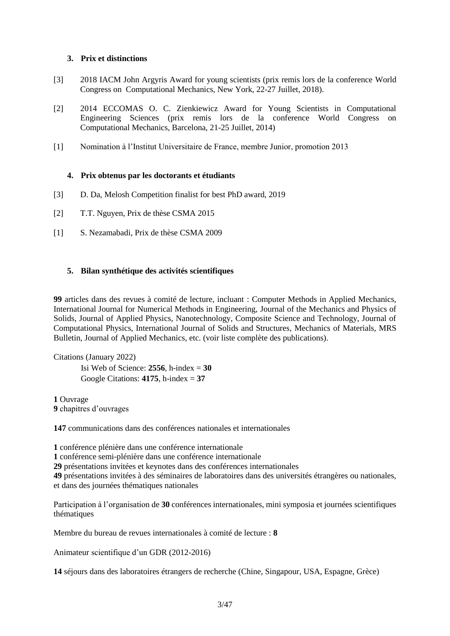#### **3. Prix et distinctions**

- [3] 2018 IACM John Argyris Award for young scientists (prix remis lors de la conference World Congress on Computational Mechanics, New York, 22-27 Juillet, 2018).
- [2] 2014 ECCOMAS O. C. Zienkiewicz Award for Young Scientists in Computational Engineering Sciences (prix remis lors de la conference World Congress on Computational Mechanics, Barcelona, 21-25 Juillet, 2014)
- [1] Nomination à l'Institut Universitaire de France, membre Junior, promotion 2013

#### **4. Prix obtenus par les doctorants et étudiants**

- [3] D. Da, Melosh Competition finalist for best PhD award, 2019
- [2] T.T. Nguyen, Prix de thèse CSMA 2015
- [1] S. Nezamabadi, Prix de thèse CSMA 2009

#### **5. Bilan synthétique des activités scientifiques**

**99** articles dans des revues à comité de lecture, incluant : Computer Methods in Applied Mechanics, International Journal for Numerical Methods in Engineering, Journal of the Mechanics and Physics of Solids, Journal of Applied Physics, Nanotechnology, Composite Science and Technology, Journal of Computational Physics, International Journal of Solids and Structures, Mechanics of Materials, MRS Bulletin, Journal of Applied Mechanics, etc. (voir liste complète des publications).

Citations (January 2022) Isi Web of Science:  $2556$ , h-index  $= 30$ Google Citations:  $4175$ , h-index =  $37$ 

**1** Ouvrage **9** chapitres d'ouvrages

**147** communications dans des conférences nationales et internationales

**1** conférence plénière dans une conférence internationale

**1** conférence semi-plénière dans une conférence internationale

**29** présentations invitées et keynotes dans des conférences internationales

**49** présentations invitées à des séminaires de laboratoires dans des universités étrangères ou nationales, et dans des journées thématiques nationales

Participation à l'organisation de **30** conférences internationales, mini symposia et journées scientifiques thématiques

Membre du bureau de revues internationales à comité de lecture : **8**

Animateur scientifique d'un GDR (2012-2016)

**14** séjours dans des laboratoires étrangers de recherche (Chine, Singapour, USA, Espagne, Grèce)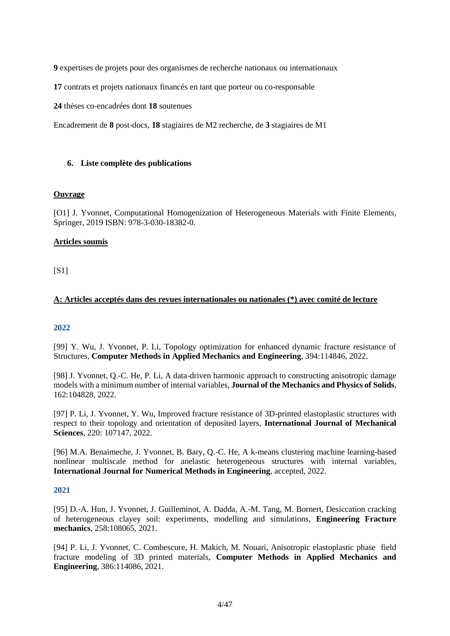**9** expertises de projets pour des organismes de recherche nationaux ou internationaux

**17** contrats et projets nationaux financés en tant que porteur ou co-responsable

**24** thèses co-encadrées dont **18** soutenues

Encadrement de **8** post-docs, **18** stagiaires de M2 recherche, de **3** stagiaires de M1

#### **6. Liste complète des publications**

#### **Ouvrage**

[O1] J. Yvonnet, Computational Homogenization of Heterogeneous Materials with Finite Elements, Springer, 2019 ISBN: 978-3-030-18382-0.

#### **Articles soumis**

[S1]

#### **A: Articles acceptés dans des revues internationales ou nationales (\*) avec comité de lecture**

#### **2022**

[99] Y. Wu, J. Yvonnet, P. Li, Topology optimization for enhanced dynamic fracture resistance of Structures, **Computer Methods in Applied Mechanics and Engineering**, 394:114846, 2022.

[98] J. Yvonnet, Q.-C. He, P. Li, A data-driven harmonic approach to constructing anisotropic damage models with a minimum number of internal variables, **Journal of the Mechanics and Physics of Solids**, 162:104828, 2022.

[97] P. Li, J. Yvonnet, Y. Wu, Improved fracture resistance of 3D-printed elastoplastic structures with respect to their topology and orientation of deposited layers, **International Journal of Mechanical Sciences**, 220: 107147, 2022.

[96] M.A. Benaimeche, J. Yvonnet, B. Bary, Q.-C. He, A k-means clustering machine learning-based nonlinear multiscale method for anelastic heterogeneous structures with internal variables, **International Journal for Numerical Methods in Engineering**, accepted, 2022.

#### **2021**

[95] D.-A. Hun, J. Yvonnet, J. Guilleminot, A. Dadda, A.-M. Tang, M. Bornert, Desiccation cracking of heterogeneous clayey soil: experiments, modelling and simulations, **Engineering Fracture mechanics**, 258:108065, 2021.

[94] P. Li, J. Yvonnet, C. Combescure, H. Makich, M. Nouari, Anisotropic elastoplastic phase field fracture modeling of 3D printed materials, **Computer Methods in Applied Mechanics and Engineering**, 386:114086, 2021.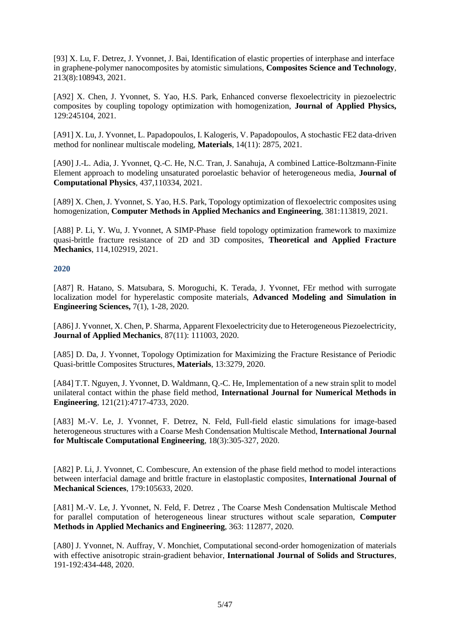[93] X. Lu, F. Detrez, J. Yvonnet, J. Bai, Identification of elastic properties of interphase and interface in graphene-polymer nanocomposites by atomistic simulations, **Composites Science and Technology**, 213(8):108943, 2021.

[A92] X. Chen, J. Yvonnet, S. Yao, H.S. Park, Enhanced converse flexoelectricity in piezoelectric composites by coupling topology optimization with homogenization, **Journal of Applied Physics,**  129:245104, 2021.

[A91] X. Lu, J. Yvonnet, L. Papadopoulos, I. Kalogeris, V. Papadopoulos, A stochastic FE2 data-driven method for nonlinear multiscale modeling, **Materials**, 14(11): 2875, 2021.

[A90] J.-L. Adia, J. Yvonnet, Q.-C. He, N.C. Tran, J. Sanahuja, A combined Lattice-Boltzmann-Finite Element approach to modeling unsaturated poroelastic behavior of heterogeneous media, **Journal of Computational Physics**, 437,110334, 2021.

[A89] X. Chen, J. Yvonnet, S. Yao, H.S. Park, Topology optimization of flexoelectric composites using homogenization, **Computer Methods in Applied Mechanics and Engineering**, 381:113819, 2021.

[A88] P. Li, Y. Wu, J. Yvonnet, A SIMP-Phase field topology optimization framework to maximize quasi-brittle fracture resistance of 2D and 3D composites, **Theoretical and Applied Fracture Mechanics**, 114,102919, 2021.

#### **2020**

[A87] R. Hatano, S. Matsubara, S. Moroguchi, K. Terada, J. Yvonnet, FEr method with surrogate localization model for hyperelastic composite materials, **Advanced Modeling and Simulation in Engineering Sciences,** 7(1), 1-28, 2020.

[A86] J. Yvonnet, X. Chen, P. Sharma, Apparent Flexoelectricity due to Heterogeneous Piezoelectricity, **Journal of Applied Mechanics**, 87(11): 111003, 2020.

[A85] D. Da, J. Yvonnet, Topology Optimization for Maximizing the Fracture Resistance of Periodic Quasi-brittle Composites Structures, **Materials**, 13:3279, 2020.

[A84] T.T. Nguyen, J. Yvonnet, D. Waldmann, Q.-C. He, Implementation of a new strain split to model unilateral contact within the phase field method, **International Journal for Numerical Methods in Engineering**, 121(21):4717-4733, 2020.

[A83] M.-V. Le, J. Yvonnet, F. Detrez, N. Feld, Full-field elastic simulations for image-based heterogeneous structures with a Coarse Mesh Condensation Multiscale Method, **International Journal for Multiscale Computational Engineering**, 18(3):305-327, 2020.

[A82] P. Li, J. Yvonnet, C. Combescure, An extension of the phase field method to model interactions between interfacial damage and brittle fracture in elastoplastic composites, **International Journal of Mechanical Sciences**, 179:105633, 2020.

[A81] M.-V. Le, J. Yvonnet, N. Feld, F. Detrez , The Coarse Mesh Condensation Multiscale Method for parallel computation of heterogeneous linear structures without scale separation, **Computer Methods in Applied Mechanics and Engineering**, 363: 112877, 2020.

[A80] J. Yvonnet, N. Auffray, V. Monchiet, Computational second-order homogenization of materials with effective anisotropic strain-gradient behavior, **International Journal of Solids and Structures**, 191-192:434-448, 2020.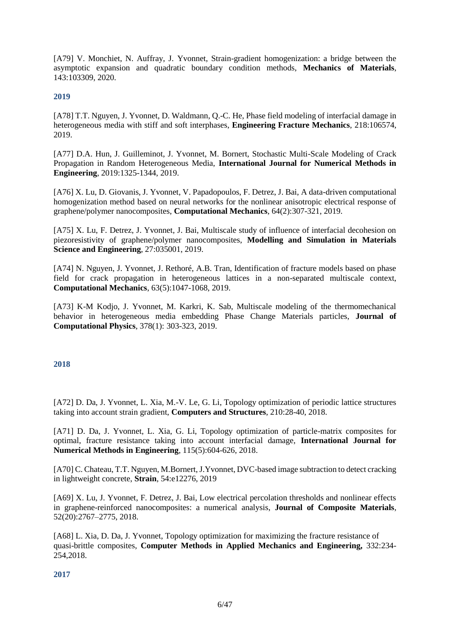[A79] V. Monchiet, N. Auffray, J. Yvonnet, Strain-gradient homogenization: a bridge between the asymptotic expansion and quadratic boundary condition methods, **Mechanics of Materials**, 143:103309, 2020.

#### **2019**

[A78] T.T. Nguyen, J. Yvonnet, D. Waldmann, Q.-C. He, Phase field modeling of interfacial damage in heterogeneous media with stiff and soft interphases, **Engineering Fracture Mechanics**, 218:106574, 2019.

[A77] D.A. Hun, J. Guilleminot, J. Yvonnet, M. Bornert, Stochastic Multi-Scale Modeling of Crack Propagation in Random Heterogeneous Media, **International Journal for Numerical Methods in Engineering**, 2019:1325-1344, 2019.

[A76] X. Lu, D. Giovanis, J. Yvonnet, V. Papadopoulos, F. Detrez, J. Bai, A data-driven computational homogenization method based on neural networks for the nonlinear anisotropic electrical response of graphene/polymer nanocomposites, **Computational Mechanics**, 64(2):307-321, 2019.

[A75] X. Lu, F. Detrez, J. Yvonnet, J. Bai, Multiscale study of influence of interfacial decohesion on piezoresistivity of graphene/polymer nanocomposites, **Modelling and Simulation in Materials Science and Engineering**, 27:035001, 2019.

[A74] N. Nguyen, J. Yvonnet, J. Rethoré, A.B. Tran, Identification of fracture models based on phase field for crack propagation in heterogeneous lattices in a non-separated multiscale context, **Computational Mechanics**, 63(5):1047-1068, 2019.

[A73] K-M Kodjo, J. Yvonnet, M. Karkri, K. Sab, Multiscale modeling of the thermomechanical behavior in heterogeneous media embedding Phase Change Materials particles, **Journal of Computational Physics**, 378(1): 303-323, 2019.

#### **2018**

[A72] D. Da, J. Yvonnet, L. Xia, M.-V. Le, G. Li, Topology optimization of periodic lattice structures taking into account strain gradient, **Computers and Structures**, 210:28-40, 2018.

[A71] D. Da, J. Yvonnet, L. Xia, G. Li, Topology optimization of particle-matrix composites for optimal, fracture resistance taking into account interfacial damage, **International Journal for Numerical Methods in Engineering**, 115(5):604-626, 2018.

[A70] C. Chateau, T.T. Nguyen, M.Bornert, J.Yvonnet, DVC-based image subtraction to detect cracking in lightweight concrete, **Strain**, 54:e12276, 2019

[A69] X. Lu, J. Yvonnet, F. Detrez, J. Bai, Low electrical percolation thresholds and nonlinear effects in graphene-reinforced nanocomposites: a numerical analysis, **Journal of Composite Materials**, 52(20):2767–2775, 2018.

[A68] L. Xia, D. Da, J. Yvonnet, Topology optimization for maximizing the fracture resistance of quasi-brittle composites, **Computer Methods in Applied Mechanics and Engineering,** 332:234- 254,2018.

#### **2017**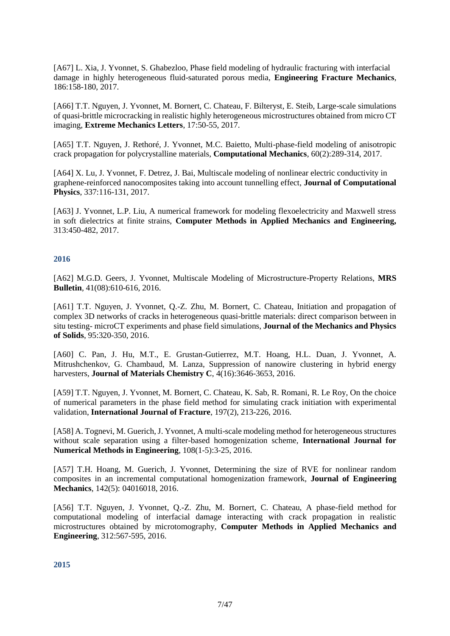[A67] L. Xia, J. Yvonnet, S. Ghabezloo, Phase field modeling of hydraulic fracturing with interfacial damage in highly heterogeneous fluid-saturated porous media, **Engineering Fracture Mechanics**, 186:158-180, 2017.

[A66] T.T. Nguyen, J. Yvonnet, M. Bornert, C. Chateau, F. Bilteryst, E. Steib, Large-scale simulations of quasi-brittle microcracking in realistic highly heterogeneous microstructures obtained from micro CT imaging, **Extreme Mechanics Letters**, 17:50-55, 2017.

[A65] T.T. Nguyen, J. Rethoré, J. Yvonnet, M.C. Baietto, Multi-phase-field modeling of anisotropic crack propagation for polycrystalline materials, **Computational Mechanics**, 60(2):289-314, 2017.

[A64] X. Lu, J. Yvonnet, F. Detrez, J. Bai, Multiscale modeling of nonlinear electric conductivity in graphene-reinforced nanocomposites taking into account tunnelling effect, **Journal of Computational Physics**, 337:116-131, 2017.

[A63] J. Yvonnet, L.P. Liu, A numerical framework for modeling flexoelectricity and Maxwell stress in soft dielectrics at finite strains, **Computer Methods in Applied Mechanics and Engineering,**  313:450-482, 2017.

#### **2016**

[A62] M.G.D. Geers, J. Yvonnet, Multiscale Modeling of Microstructure-Property Relations, **MRS Bulletin**, 41(08):610-616, 2016.

[A61] T.T. Nguyen, J. Yvonnet, Q.-Z. Zhu, M. Bornert, C. Chateau, Initiation and propagation of complex 3D networks of cracks in heterogeneous quasi-brittle materials: direct comparison between in situ testing- microCT experiments and phase field simulations, **Journal of the Mechanics and Physics of Solids**, 95:320-350, 2016.

[A60] C. Pan, J. Hu, M.T., E. Grustan-Gutierrez, M.T. Hoang, H.L. Duan, J. Yvonnet, A. Mitrushchenkov, G. Chambaud, M. Lanza, Suppression of nanowire clustering in hybrid energy harvesters, **Journal of Materials Chemistry C**, 4(16):3646-3653, 2016.

[A59] T.T. Nguyen, J. Yvonnet, M. Bornert, C. Chateau, K. Sab, R. Romani, R. Le Roy, On the choice of numerical parameters in the phase field method for simulating crack initiation with experimental validation, **International Journal of Fracture**, 197(2), 213-226, 2016.

[A58] A. Tognevi, M. Guerich, J. Yvonnet, A multi-scale modeling method for heterogeneous structures without scale separation using a filter-based homogenization scheme, **International Journal for Numerical Methods in Engineering**, 108(1-5):3-25, 2016.

[A57] T.H. Hoang, M. Guerich, J. Yvonnet, Determining the size of RVE for nonlinear random composites in an incremental computational homogenization framework, **Journal of Engineering Mechanics**, 142(5): 04016018, 2016.

[A56] T.T. Nguyen, J. Yvonnet, Q.-Z. Zhu, M. Bornert, C. Chateau, A phase-field method for computational modeling of interfacial damage interacting with crack propagation in realistic microstructures obtained by microtomography, **Computer Methods in Applied Mechanics and Engineering**, 312:567-595, 2016.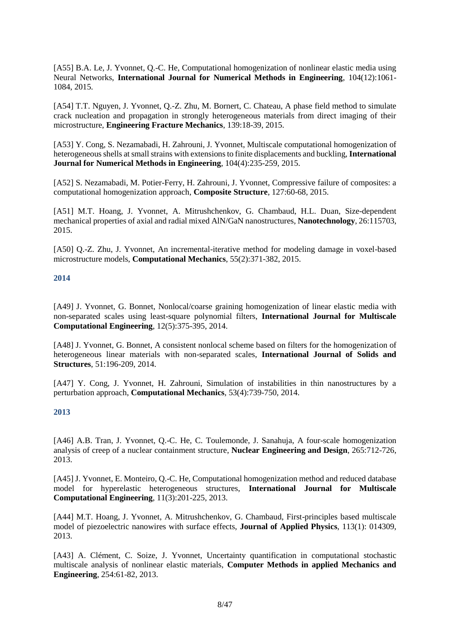[A55] B.A. Le, J. Yvonnet, Q.-C. He, Computational homogenization of nonlinear elastic media using Neural Networks, **International Journal for Numerical Methods in Engineering**, 104(12):1061- 1084, 2015.

[A54] T.T. Nguyen, J. Yvonnet, Q.-Z. Zhu, M. Bornert, C. Chateau, A phase field method to simulate crack nucleation and propagation in strongly heterogeneous materials from direct imaging of their microstructure, **Engineering Fracture Mechanics**, 139:18-39, 2015.

[A53] Y. Cong, S. Nezamabadi, H. Zahrouni, J. Yvonnet, Multiscale computational homogenization of heterogeneous shells at small strains with extensions to finite displacements and buckling, **International Journal for Numerical Methods in Engineering**, 104(4):235-259, 2015.

[A52] S. Nezamabadi, M. Potier-Ferry, H. Zahrouni, J. Yvonnet, Compressive failure of composites: a computational homogenization approach, **Composite Structure**, 127:60-68, 2015.

[A51] M.T. Hoang, J. Yvonnet, A. Mitrushchenkov, G. Chambaud, H.L. Duan, Size-dependent mechanical properties of axial and radial mixed AlN/GaN nanostructures, **Nanotechnology**, 26:115703, 2015.

[A50] Q.-Z. Zhu, J. Yvonnet, An incremental-iterative method for modeling damage in voxel-based microstructure models, **Computational Mechanics**, 55(2):371-382, 2015.

#### **2014**

[A49] J. Yvonnet, G. Bonnet, Nonlocal/coarse graining homogenization of linear elastic media with non-separated scales using least-square polynomial filters, **International Journal for Multiscale Computational Engineering**, 12(5):375-395, 2014.

[A48] J. Yvonnet, G. Bonnet, A consistent nonlocal scheme based on filters for the homogenization of heterogeneous linear materials with non-separated scales, **International Journal of Solids and Structures**, 51:196-209, 2014.

[A47] Y. Cong, J. Yvonnet, H. Zahrouni, Simulation of instabilities in thin nanostructures by a perturbation approach, **Computational Mechanics**, 53(4):739-750, 2014.

#### **2013**

[A46] A.B. Tran, J. Yvonnet, Q.-C. He, C. Toulemonde, J. Sanahuja, A four-scale homogenization analysis of creep of a nuclear containment structure, **Nuclear Engineering and Design**, 265:712-726, 2013.

[A45] J. Yvonnet, E. Monteiro, Q.-C. He, Computational homogenization method and reduced database model for hyperelastic heterogeneous structures, **International Journal for Multiscale Computational Engineering**, 11(3):201-225, 2013.

[A44] M.T. Hoang, J. Yvonnet, A. Mitrushchenkov, G. Chambaud, First-principles based multiscale model of piezoelectric nanowires with surface effects, **Journal of Applied Physics**, 113(1): 014309, 2013.

[A43] A. Clément, C. Soize, J. Yvonnet, Uncertainty quantification in computational stochastic multiscale analysis of nonlinear elastic materials, **Computer Methods in applied Mechanics and Engineering**, 254:61-82, 2013.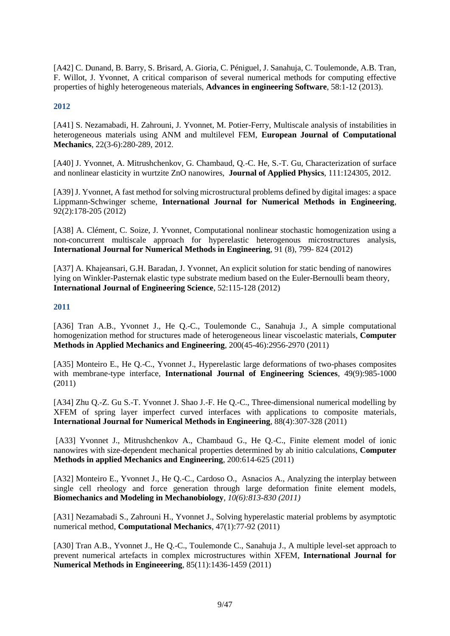[A42] C. Dunand, B. Barry, S. Brisard, A. Gioria, C. Péniguel, J. Sanahuja, C. Toulemonde, A.B. Tran, F. Willot, J. Yvonnet, A critical comparison of several numerical methods for computing effective properties of highly heterogeneous materials, **Advances in engineering Software**, 58:1-12 (2013).

## **2012**

[A41] S. Nezamabadi, H. Zahrouni, J. Yvonnet, M. Potier-Ferry, Multiscale analysis of instabilities in heterogeneous materials using ANM and multilevel FEM, **European Journal of Computational Mechanics**, 22(3-6):280-289, 2012.

[A40] J. Yvonnet, A. Mitrushchenkov, G. Chambaud, Q.-C. He, S.-T. Gu, Characterization of surface and nonlinear elasticity in wurtzite ZnO nanowires, **Journal of Applied Physics**, 111:124305, 2012.

[A39] J. Yvonnet, A fast method for solving microstructural problems defined by digital images: a space Lippmann-Schwinger scheme, **International Journal for Numerical Methods in Engineering**, 92(2):178-205 (2012)

[A38] A. Clément, C. Soize, J. Yvonnet, Computational nonlinear stochastic homogenization using a non-concurrent multiscale approach for hyperelastic heterogenous microstructures analysis, **International Journal for Numerical Methods in Engineering**, 91 (8), 799- 824 (2012)

[A37] A. Khajeansari, G.H. Baradan, J. Yvonnet, An explicit solution for static bending of nanowires lying on Winkler-Pasternak elastic type substrate medium based on the Euler-Bernoulli beam theory, **International Journal of Engineering Science**, 52:115-128 (2012)

#### **2011**

[A36] Tran A.B., Yvonnet J., He Q.-C., Toulemonde C., Sanahuja J., A simple computational homogenization method for structures made of heterogeneous linear viscoelastic materials, **Computer Methods in Applied Mechanics and Engineering**, 200(45-46):2956-2970 (2011)

[A35] Monteiro E., He Q.-C., Yvonnet J., Hyperelastic large deformations of two-phases composites with membrane-type interface, **International Journal of Engineering Sciences**, 49(9):985-1000 (2011)

[A34] Zhu Q.-Z. Gu S.-T. Yvonnet J. Shao J.-F. He Q.-C., Three-dimensional numerical modelling by XFEM of spring layer imperfect curved interfaces with applications to composite materials, **International Journal for Numerical Methods in Engineering**, 88(4):307-328 (2011)

[A33] Yvonnet J., Mitrushchenkov A., Chambaud G., He Q.-C., Finite element model of ionic nanowires with size-dependent mechanical properties determined by ab initio calculations, **Computer Methods in applied Mechanics and Engineering**, 200:614-625 (2011)

[A32] Monteiro E., Yvonnet J., He Q.-C., Cardoso O., Asnacios A., Analyzing the interplay between single cell rheology and force generation through large deformation finite element models, **Biomechanics and Modeling in Mechanobiology**, *10(6):813-830 (2011)*

[A31] Nezamabadi S., Zahrouni H., Yvonnet J., Solving hyperelastic material problems by asymptotic numerical method, **Computational Mechanics**, 47(1):77-92 (2011)

[A30] Tran A.B., Yvonnet J., He Q.-C., Toulemonde C., Sanahuja J., A multiple level-set approach to prevent numerical artefacts in complex microstructures within XFEM, **International Journal for Numerical Methods in Engineeering**, 85(11):1436-1459 (2011)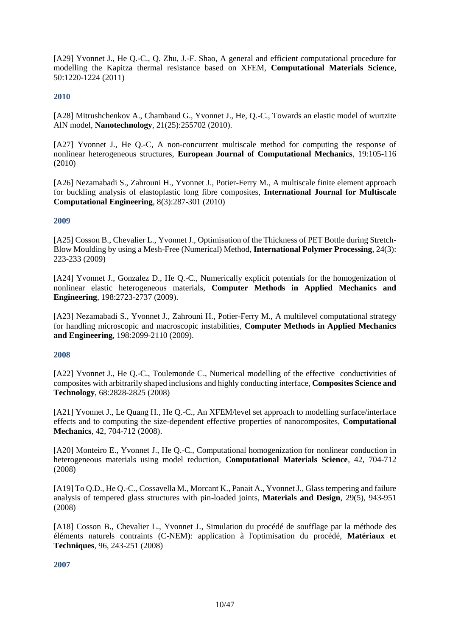[A29] Yvonnet J., He Q.-C., Q. Zhu, J.-F. Shao, A general and efficient computational procedure for modelling the Kapitza thermal resistance based on XFEM, **Computational Materials Science**, 50:1220-1224 (2011)

#### **2010**

[A28] Mitrushchenkov A., Chambaud G., Yvonnet J., He, Q.-C., Towards an elastic model of wurtzite AlN model, **Nanotechnology**, 21(25):255702 (2010).

[A27] Yvonnet J., He Q.-C, A non-concurrent multiscale method for computing the response of nonlinear heterogeneous structures, **European Journal of Computational Mechanics**, 19:105-116 (2010)

[A26] Nezamabadi S., Zahrouni H., Yvonnet J., Potier-Ferry M., A multiscale finite element approach for buckling analysis of elastoplastic long fibre composites, **International Journal for Multiscale Computational Engineering**, 8(3):287-301 (2010)

#### **2009**

[A25] Cosson B., Chevalier L., Yvonnet J., Optimisation of the Thickness of PET Bottle during Stretch-Blow Moulding by using a Mesh-Free (Numerical) Method, **International Polymer Processing**, 24(3): 223-233 (2009)

[A24] Yvonnet J., Gonzalez D., He Q.-C., Numerically explicit potentials for the homogenization of nonlinear elastic heterogeneous materials, **Computer Methods in Applied Mechanics and Engineering**, 198:2723-2737 (2009).

[A23] Nezamabadi S., Yvonnet J., Zahrouni H., Potier-Ferry M., A multilevel computational strategy for handling microscopic and macroscopic instabilities, **Computer Methods in Applied Mechanics and Engineering**, 198:2099-2110 (2009).

#### **2008**

[A22] Yvonnet J., He Q.-C., Toulemonde C., Numerical modelling of the effective conductivities of composites with arbitrarily shaped inclusions and highly conducting interface, **Composites Science and Technology**, 68:2828-2825 (2008)

[A21] Yvonnet J., Le Quang H., He Q.-C., An XFEM/level set approach to modelling surface/interface effects and to computing the size-dependent effective properties of nanocomposites, **Computational Mechanics**, 42, 704-712 (2008).

[A20] Monteiro E., Yvonnet J., He Q.-C., Computational homogenization for nonlinear conduction in heterogeneous materials using model reduction, **Computational Materials Science**, 42, 704-712 (2008)

[A19] To Q.D., He Q.-C., Cossavella M., Morcant K., Panait A., Yvonnet J., Glass tempering and failure analysis of tempered glass structures with pin-loaded joints, **Materials and Design**, 29(5), 943-951 (2008)

[A18] Cosson B., Chevalier L., Yvonnet J., Simulation du procédé de soufflage par la méthode des éléments naturels contraints (C-NEM): application à l'optimisation du procédé, **Matériaux et Techniques**, 96, 243-251 (2008)

#### **2007**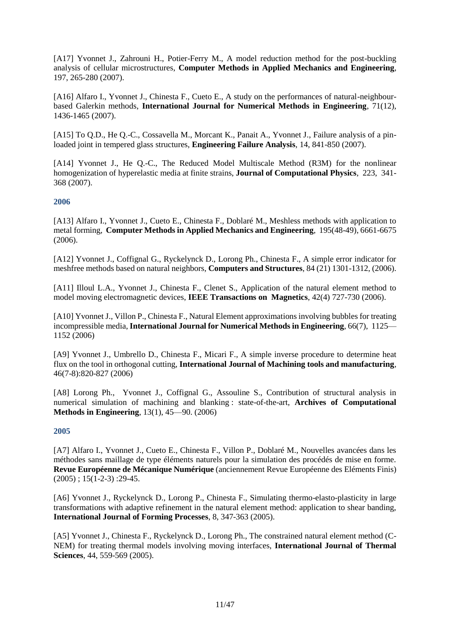[A17] Yvonnet J., Zahrouni H., Potier-Ferry M., A model reduction method for the post-buckling analysis of cellular microstructures, **Computer Methods in Applied Mechanics and Engineering**, 197, 265-280 (2007).

[A16] Alfaro I., Yvonnet J., Chinesta F., Cueto E., A study on the performances of natural-neighbourbased Galerkin methods, **International Journal for Numerical Methods in Engineering**, 71(12), 1436-1465 (2007).

[A15] To Q.D., He Q.-C., Cossavella M., Morcant K., Panait A., Yvonnet J., Failure analysis of a pinloaded joint in tempered glass structures, **Engineering Failure Analysis**, 14, 841-850 (2007).

[A14] Yvonnet J., He Q.-C., The Reduced Model Multiscale Method (R3M) for the nonlinear homogenization of hyperelastic media at finite strains, **Journal of Computational Physics**, 223, 341- 368 (2007).

#### **2006**

[A13] Alfaro I., Yvonnet J., Cueto E., Chinesta F., Doblaré M., Meshless methods with application to metal forming, **Computer Methods in Applied Mechanics and Engineering**, 195(48-49), 6661-6675 (2006).

[A12] Yvonnet J., Coffignal G., Ryckelynck D., Lorong Ph., Chinesta F., A simple error indicator for meshfree methods based on natural neighbors, **Computers and Structures**, 84 (21) 1301-1312, (2006).

[A11] Illoul L.A., Yvonnet J., Chinesta F., Clenet S., Application of the natural element method to model moving electromagnetic devices, **IEEE Transactions on Magnetics**, 42(4) 727-730 (2006).

[A10] Yvonnet J., Villon P., Chinesta F., Natural Element approximations involving bubbles for treating incompressible media, **International Journal for Numerical Methods in Engineering**, 66(7), 1125— 1152 (2006)

[A9] Yvonnet J., Umbrello D., Chinesta F., Micari F., A simple inverse procedure to determine heat flux on the tool in orthogonal cutting, **International Journal of Machining tools and manufacturing**, 46(7-8):820-827 (2006)

[A8] Lorong Ph., Yvonnet J., Coffignal G., Assouline S., Contribution of structural analysis in numerical simulation of machining and blanking : state-of-the-art, **Archives of Computational Methods in Engineering**, 13(1), 45—90. (2006)

#### **2005**

[A7] Alfaro I., Yvonnet J., Cueto E., Chinesta F., Villon P., Doblaré M., Nouvelles avancées dans les méthodes sans maillage de type éléments naturels pour la simulation des procédés de mise en forme. **Revue Européenne de Mécanique Numérique** (anciennement Revue Européenne des Eléments Finis)  $(2005)$ ; 15(1-2-3): 29-45.

[A6] Yvonnet J., Ryckelynck D., Lorong P., Chinesta F., Simulating thermo-elasto-plasticity in large transformations with adaptive refinement in the natural element method: application to shear banding, **International Journal of Forming Processes**, 8, 347-363 (2005).

[A5] Yvonnet J., Chinesta F., Ryckelynck D., Lorong Ph., The constrained natural element method (C-NEM) for treating thermal models involving moving interfaces, **International Journal of Thermal Sciences**, 44, 559-569 (2005).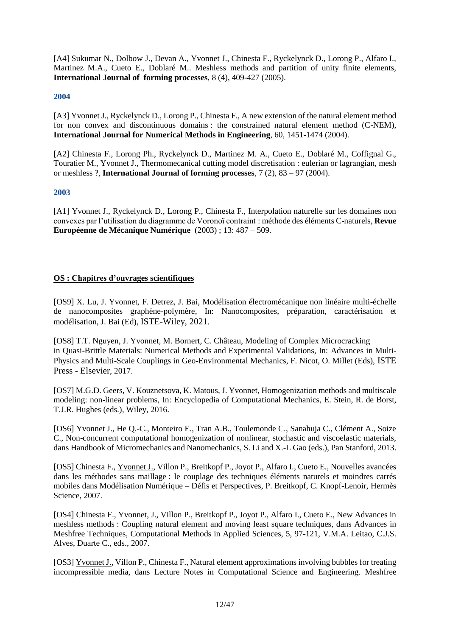[A4] Sukumar N., Dolbow J., Devan A., Yvonnet J., Chinesta F., Ryckelynck D., Lorong P., Alfaro I., Martinez M.A., Cueto E., Doblaré M.. Meshless methods and partition of unity finite elements, **International Journal of forming processes**, 8 (4), 409-427 (2005).

#### **2004**

[A3] Yvonnet J., Ryckelynck D., Lorong P., Chinesta F., A new extension of the natural element method for non convex and discontinuous domains : the constrained natural element method (C-NEM), **International Journal for Numerical Methods in Engineering**, 60, 1451-1474 (2004).

[A2] Chinesta F., Lorong Ph., Ryckelynck D., Martinez M. A., Cueto E., Doblaré M., Coffignal G., Touratier M., Yvonnet J., Thermomecanical cutting model discretisation : eulerian or lagrangian, mesh or meshless ?, **International Journal of forming processes**, 7 (2), 83 – 97 (2004).

#### **2003**

[A1] Yvonnet J., Ryckelynck D., Lorong P., Chinesta F., Interpolation naturelle sur les domaines non convexes par l'utilisation du diagramme de Voronoï contraint : méthode des éléments C-naturels, **Revue Européenne de Mécanique Numérique** (2003) ; 13: 487 – 509.

## **OS : Chapitres d'ouvrages scientifiques**

[OS9] X. Lu, J. Yvonnet, F. Detrez, J. Bai, Modélisation électromécanique non linéaire multi-échelle de nanocomposites graphène-polymère, In: Nanocomposites, préparation, caractérisation et modélisation, J. Bai (Ed), ISTE-Wiley, 2021.

[OS8] T.T. Nguyen, J. Yvonnet, M. Bornert, C. Château, Modeling of Complex Microcracking in Quasi-Brittle Materials: Numerical Methods and Experimental Validations, In: Advances in Multi-Physics and Multi-Scale Couplings in Geo-Environmental Mechanics, F. Nicot, O. Millet (Eds), ISTE Press - Elsevier, 2017.

[OS7] M.G.D. Geers, V. Kouznetsova, K. Matous, J. Yvonnet, Homogenization methods and multiscale modeling: non-linear problems, In: Encyclopedia of Computational Mechanics, E. Stein, R. de Borst, T.J.R. Hughes (eds.), Wiley, 2016.

[OS6] Yvonnet J., He Q.-C., Monteiro E., Tran A.B., Toulemonde C., Sanahuja C., Clément A., Soize C., Non-concurrent computational homogenization of nonlinear, stochastic and viscoelastic materials, dans Handbook of Micromechanics and Nanomechanics, S. Li and X.-L Gao (eds.), Pan Stanford, 2013.

[OS5] Chinesta F., Yvonnet J., Villon P., Breitkopf P., Joyot P., Alfaro I., Cueto E., Nouvelles avancées dans les méthodes sans maillage : le couplage des techniques éléments naturels et moindres carrés mobiles dans Modélisation Numérique – Défis et Perspectives, P. Breitkopf, C. Knopf-Lenoir, Hermès Science, 2007.

[OS4] Chinesta F., Yvonnet, J., Villon P., Breitkopf P., Joyot P., Alfaro I., Cueto E., New Advances in meshless methods : Coupling natural element and moving least square techniques, dans Advances in Meshfree Techniques, Computational Methods in Applied Sciences, 5, 97-121, V.M.A. Leitao, C.J.S. Alves, Duarte C., eds., 2007.

[OS3] Yvonnet J., Villon P., Chinesta F., Natural element approximations involving bubbles for treating incompressible media, dans Lecture Notes in Computational Science and Engineering. Meshfree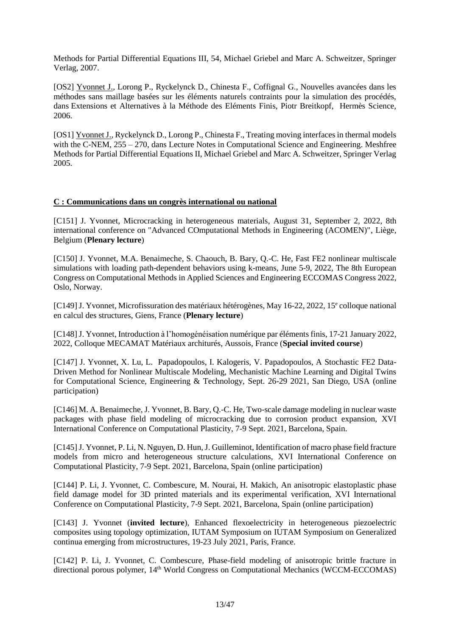Methods for Partial Differential Equations III, 54, Michael Griebel and Marc A. Schweitzer, Springer Verlag, 2007.

[OS2] Yvonnet J., Lorong P., Ryckelynck D., Chinesta F., Coffignal G., Nouvelles avancées dans les méthodes sans maillage basées sur les éléments naturels contraints pour la simulation des procédés, dans Extensions et Alternatives à la Méthode des Eléments Finis, Piotr Breitkopf, Hermès Science, 2006.

[OS1] Yvonnet J., Ryckelynck D., Lorong P., Chinesta F., Treating moving interfaces in thermal models with the C-NEM,  $255 - 270$ , dans Lecture Notes in Computational Science and Engineering. Meshfree Methods for Partial Differential Equations II, Michael Griebel and Marc A. Schweitzer, Springer Verlag 2005.

#### **C : Communications dans un congrès international ou national**

[C151] J. Yvonnet, Microcracking in heterogeneous materials, August 31, September 2, 2022, 8th international conference on "Advanced COmputational Methods in Engineering (ACOMEN)", Liège, Belgium (**Plenary lecture**)

[C150] J. Yvonnet, M.A. Benaimeche, S. Chaouch, B. Bary, Q.-C. He, Fast FE2 nonlinear multiscale simulations with loading path-dependent behaviors using k-means, June 5-9, 2022, The 8th European Congress on Computational Methods in Applied Sciences and Engineering ECCOMAS Congress 2022, Oslo, Norway.

[C149] J. Yvonnet, Microfissuration des matériaux hétérogènes, May 16-22, 2022, 15<sup>e</sup> colloque national en calcul des structures, Giens, France (**Plenary lecture**)

[C148] J. Yvonnet, Introduction à l'homogénéisation numérique par éléments finis, 17-21 January 2022, 2022, Colloque MECAMAT Matériaux architurés, Aussois, France (**Special invited course**)

[C147] J. Yvonnet, X. Lu, L. Papadopoulos, I. Kalogeris, V. Papadopoulos, A Stochastic FE2 Data-Driven Method for Nonlinear Multiscale Modeling, Mechanistic Machine Learning and Digital Twins for Computational Science, Engineering & Technology, Sept. 26-29 2021, San Diego, USA (online participation)

[C146] M. A. Benaimeche, J. Yvonnet, B. Bary, Q.-C. He, Two-scale damage modeling in nuclear waste packages with phase field modeling of microcracking due to corrosion product expansion, XVI International Conference on Computational Plasticity, 7-9 Sept. 2021, Barcelona, Spain.

[C145] J. Yvonnet, P. Li, N. Nguyen, D. Hun, J. Guilleminot, Identification of macro phase field fracture models from micro and heterogeneous structure calculations, XVI International Conference on Computational Plasticity, 7-9 Sept. 2021, Barcelona, Spain (online participation)

[C144] P. Li, J. Yvonnet, C. Combescure, M. Nourai, H. Makich, An anisotropic elastoplastic phase field damage model for 3D printed materials and its experimental verification, XVI International Conference on Computational Plasticity, 7-9 Sept. 2021, Barcelona, Spain (online participation)

[C143] J. Yvonnet (**invited lecture**), Enhanced flexoelectricity in heterogeneous piezoelectric composites using topology optimization, IUTAM Symposium on IUTAM Symposium on Generalized continua emerging from microstructures, 19-23 July 2021, Paris, France.

[C142] P. Li, J. Yvonnet, C. Combescure, Phase-field modeling of anisotropic brittle fracture in directional porous polymer, 14<sup>th</sup> World Congress on Computational Mechanics (WCCM-ECCOMAS)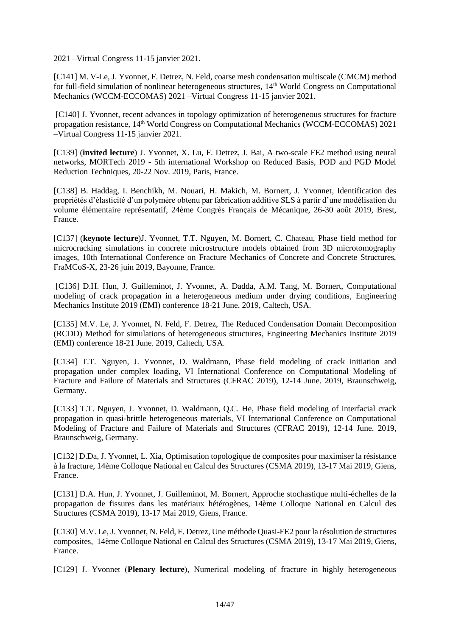2021 –Virtual Congress 11-15 janvier 2021.

[C141] M. V-Le, J. Yvonnet, F. Detrez, N. Feld, coarse mesh condensation multiscale (CMCM) method for full-field simulation of nonlinear heterogeneous structures, 14<sup>th</sup> World Congress on Computational Mechanics (WCCM-ECCOMAS) 2021 –Virtual Congress 11-15 janvier 2021.

[C140] J. Yvonnet, recent advances in topology optimization of heterogeneous structures for fracture propagation resistance, 14th World Congress on Computational Mechanics (WCCM-ECCOMAS) 2021 –Virtual Congress 11-15 janvier 2021.

[C139] (**invited lecture**) J. Yvonnet, X. Lu, F. Detrez, J. Bai, A two-scale FE2 method using neural networks, MORTech 2019 - 5th international Workshop on Reduced Basis, POD and PGD Model Reduction Techniques, 20-22 Nov. 2019, Paris, France.

[C138] B. Haddag, I. Benchikh, M. Nouari, H. Makich, M. Bornert, J. Yvonnet, Identification des propriétés d'élasticité d'un polymère obtenu par fabrication additive SLS à partir d'une modélisation du volume élémentaire représentatif, 24ème Congrès Français de Mécanique, 26-30 août 2019, Brest, France.

[C137] (**keynote lecture**)J. Yvonnet, T.T. Nguyen, M. Bornert, C. Chateau, Phase field method for microcracking simulations in concrete microstructure models obtained from 3D microtomography images, 10th International Conference on Fracture Mechanics of Concrete and Concrete Structures, FraMCoS-X, 23-26 juin 2019, Bayonne, France.

[C136] D.H. Hun, J. Guilleminot, J. Yvonnet, A. Dadda, A.M. Tang, M. Bornert, Computational modeling of crack propagation in a heterogeneous medium under drying conditions, Engineering Mechanics Institute 2019 (EMI) conference 18-21 June. 2019, Caltech, USA.

[C135] M.V. Le, J. Yvonnet, N. Feld, F. Detrez, The Reduced Condensation Domain Decomposition (RCDD) Method for simulations of heterogeneous structures, Engineering Mechanics Institute 2019 (EMI) conference 18-21 June. 2019, Caltech, USA.

[C134] T.T. Nguyen, J. Yvonnet, D. Waldmann, [Phase field modeling of crack initiation and](https://congress.cimne.com/cfrac2019/admin/files/fileabstract/a89.pdf)  [propagation under complex loading,](https://congress.cimne.com/cfrac2019/admin/files/fileabstract/a89.pdf) VI International Conference on Computational Modeling of Fracture and Failure of Materials and Structures (CFRAC 2019), 12-14 June. 2019, Braunschweig, Germany.

[C133] T.T. Nguyen, J. Yvonnet, D. Waldmann, Q.C. He, Phase field modeling of interfacial crack propagation in quasi-brittle heterogeneous materials, VI International Conference on Computational Modeling of Fracture and Failure of Materials and Structures (CFRAC 2019), 12-14 June. 2019, Braunschweig, Germany.

[C132] D.Da, J. Yvonnet, L. Xia, Optimisation topologique de composites pour maximiser la résistance à la fracture, 14ème Colloque National en Calcul des Structures (CSMA 2019), 13-17 Mai 2019, Giens, France.

[C131] D.A. Hun, J. Yvonnet, J. Guilleminot, M. Bornert, Approche stochastique multi-échelles de la propagation de fissures dans les matériaux hétérogènes, 14ème Colloque National en Calcul des Structures (CSMA 2019), 13-17 Mai 2019, Giens, France.

[C130] M.V. Le, J. Yvonnet, N. Feld, F. Detrez, Une méthode Quasi-FE2 pour la résolution de structures composites, 14ème Colloque National en Calcul des Structures (CSMA 2019), 13-17 Mai 2019, Giens, France.

[C129] J. Yvonnet (**Plenary lecture**), Numerical modeling of fracture in highly heterogeneous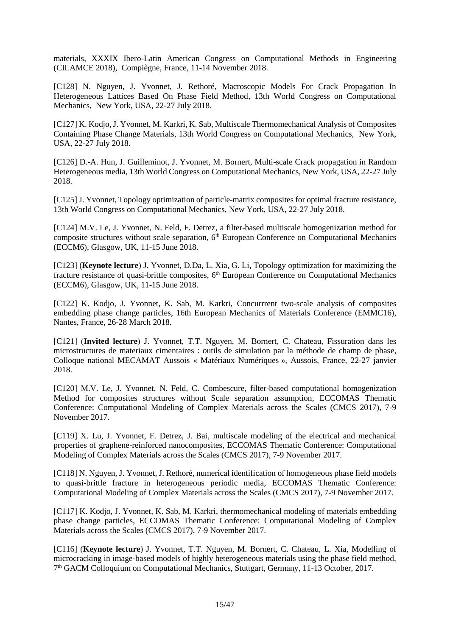materials, XXXIX Ibero-Latin American Congress on Computational Methods in Engineering (CILAMCE 2018), Compiègne, France, 11-14 November 2018.

[C128] N. Nguyen, J. Yvonnet, J. Rethoré, Macroscopic Models For Crack Propagation In Heterogeneous Lattices Based On Phase Field Method, 13th World Congress on Computational Mechanics, New York, USA, 22-27 July 2018.

[C127] K. Kodjo, J. Yvonnet, M. Karkri, K. Sab, Multiscale Thermomechanical Analysis of Composites Containing Phase Change Materials, 13th World Congress on Computational Mechanics, New York, USA, 22-27 July 2018.

[C126] D.-A. Hun, J. Guilleminot, J. Yvonnet, M. Bornert, Multi-scale Crack propagation in Random Heterogeneous media, 13th World Congress on Computational Mechanics, New York, USA, 22-27 July 2018.

[C125] J. Yvonnet, Topology optimization of particle-matrix composites for optimal fracture resistance, 13th World Congress on Computational Mechanics, New York, USA, 22-27 July 2018.

[C124] M.V. Le, J. Yvonnet, N. Feld, F. Detrez, a filter-based multiscale homogenization method for composite structures without scale separation,  $6<sup>th</sup>$  European Conference on Computational Mechanics (ECCM6), Glasgow, UK, 11-15 June 2018.

[C123] (**Keynote lecture**) J. Yvonnet, D.Da, L. Xia, G. Li, Topology optimization for maximizing the fracture resistance of quasi-brittle composites, 6<sup>th</sup> European Conference on Computational Mechanics (ECCM6), Glasgow, UK, 11-15 June 2018.

[C122] K. Kodjo, J. Yvonnet, K. Sab, M. Karkri, Concurrrent two-scale analysis of composites embedding phase change particles, 16th European Mechanics of Materials Conference (EMMC16), Nantes, France, 26-28 March 2018.

[C121] (**Invited lecture**) J. Yvonnet, T.T. Nguyen, M. Bornert, C. Chateau, Fissuration dans les microstructures de materiaux cimentaires : outils de simulation par la méthode de champ de phase, Colloque national MECAMAT Aussois « Matériaux Numériques », Aussois, France, 22-27 janvier 2018.

[C120] M.V. Le, J. Yvonnet, N. Feld, C. Combescure, filter-based computational homogenization Method for composites structures without Scale separation assumption, ECCOMAS Thematic Conference: Computational Modeling of Complex Materials across the Scales (CMCS 2017), 7-9 November 2017.

[C119] X. Lu, J. Yvonnet, F. Detrez, J. Bai, multiscale modeling of the electrical and mechanical properties of graphene-reinforced nanocomposites, ECCOMAS Thematic Conference: Computational Modeling of Complex Materials across the Scales (CMCS 2017), 7-9 November 2017.

[C118] N. Nguyen, J. Yvonnet, J. Rethoré, numerical identification of homogeneous phase field models to quasi-brittle fracture in heterogeneous periodic media, ECCOMAS Thematic Conference: Computational Modeling of Complex Materials across the Scales (CMCS 2017), 7-9 November 2017.

[C117] K. Kodjo, J. Yvonnet, K. Sab, M. Karkri, thermomechanical modeling of materials embedding phase change particles, ECCOMAS Thematic Conference: Computational Modeling of Complex Materials across the Scales (CMCS 2017), 7-9 November 2017.

[C116] (**Keynote lecture**) J. Yvonnet, T.T. Nguyen, M. Bornert, C. Chateau, L. Xia, Modelling of microcracking in image-based models of highly heterogeneous materials using the phase field method, 7<sup>th</sup> GACM Colloquium on Computational Mechanics, Stuttgart, Germany, 11-13 October, 2017.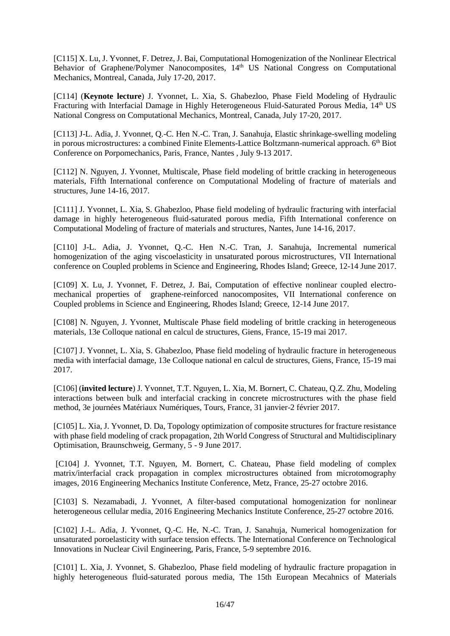[C115] X. Lu, J. Yvonnet, F. Detrez, J. Bai, Computational Homogenization of the Nonlinear Electrical Behavior of Graphene/Polymer Nanocomposites, 14<sup>th</sup> US National Congress on Computational Mechanics, Montreal, Canada, July 17-20, 2017.

[C114] (**Keynote lecture**) J. Yvonnet, L. Xia, S. Ghabezloo, Phase Field Modeling of Hydraulic Fracturing with Interfacial Damage in Highly Heterogeneous Fluid-Saturated Porous Media, 14<sup>th</sup> US National Congress on Computational Mechanics, Montreal, Canada, July 17-20, 2017.

[C113] J-L. Adia, J. Yvonnet, Q.-C. Hen N.-C. Tran, J. Sanahuja, Elastic shrinkage-swelling modeling in porous microstructures: a combined Finite Elements-Lattice Boltzmann-numerical approach. 6<sup>th</sup> Biot Conference on Porpomechanics, Paris, France, Nantes , July 9-13 2017.

[C112] N. Nguyen, J. Yvonnet, Multiscale, Phase field modeling of brittle cracking in heterogeneous materials, Fifth International conference on Computational Modeling of fracture of materials and structures, June 14-16, 2017.

[C111] J. Yvonnet, L. Xia, S. Ghabezloo, Phase field modeling of hydraulic fracturing with interfacial damage in highly heterogeneous fluid-saturated porous media, Fifth International conference on Computational Modeling of fracture of materials and structures, Nantes, June 14-16, 2017.

[C110] J-L. Adia, J. Yvonnet, Q.-C. Hen N.-C. Tran, J. Sanahuja, Incremental numerical homogenization of the aging viscoelasticity in unsaturated porous microstructures, VII International conference on Coupled problems in Science and Engineering, Rhodes Island; Greece, 12-14 June 2017.

[C109] X. Lu, J. Yvonnet, F. Detrez, J. Bai, Computation of effective nonlinear coupled electromechanical properties of graphene-reinforced nanocomposites, VII International conference on Coupled problems in Science and Engineering, Rhodes Island; Greece, 12-14 June 2017.

[C108] N. Nguyen, J. Yvonnet, Multiscale Phase field modeling of brittle cracking in heterogeneous materials, 13e Colloque national en calcul de structures, Giens, France, 15-19 mai 2017.

[C107] J. Yvonnet, L. Xia, S. Ghabezloo, Phase field modeling of hydraulic fracture in heterogeneous media with interfacial damage, 13e Colloque national en calcul de structures, Giens, France, 15-19 mai 2017.

[C106] (**invited lecture**) J. Yvonnet, T.T. Nguyen, L. Xia, M. Bornert, C. Chateau, Q.Z. Zhu, Modeling interactions between bulk and interfacial cracking in concrete microstructures with the phase field method, 3e journées Matériaux Numériques, Tours, France, 31 janvier-2 février 2017.

[C105] L. Xia, J. Yvonnet, D. Da, Topology optimization of composite structures for fracture resistance with phase field modeling of crack propagation, 2th World Congress of Structural and Multidisciplinary Optimisation, Braunschweig, Germany, 5 - 9 June 2017.

[C104] J. Yvonnet, T.T. Nguyen, M. Bornert, C. Chateau, Phase field modeling of complex matrix/interfacial crack propagation in complex microstructures obtained from microtomography images, 2016 Engineering Mechanics Institute Conference, Metz, France, 25-27 octobre 2016.

[C103] S. Nezamabadi, J. Yvonnet, A filter-based computational homogenization for nonlinear heterogeneous cellular media, 2016 Engineering Mechanics Institute Conference, 25-27 octobre 2016.

[C102] J.-L. Adia, J. Yvonnet, Q.-C. He, N.-C. Tran, J. Sanahuja, Numerical homogenization for unsaturated poroelasticity with surface tension effects. The International Conference on Technological Innovations in Nuclear Civil Engineering, Paris, France, 5-9 septembre 2016.

[C101] L. Xia, J. Yvonnet, S. Ghabezloo, Phase field modeling of hydraulic fracture propagation in highly heterogeneous fluid-saturated porous media, The 15th European Mecahnics of Materials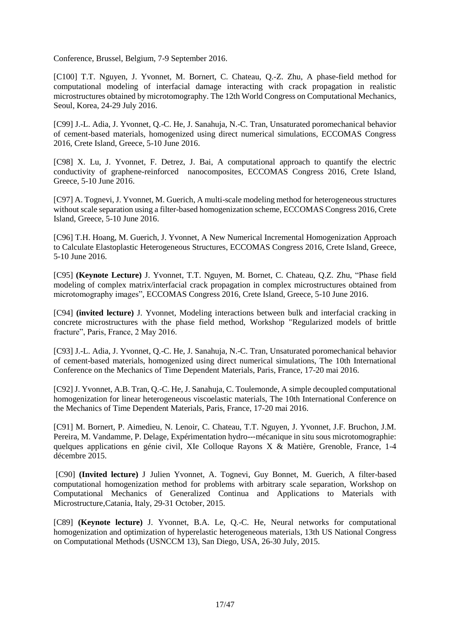Conference, Brussel, Belgium, 7-9 September 2016.

[C100] T.T. Nguyen, J. Yvonnet, M. Bornert, C. Chateau, Q.-Z. Zhu, A phase-field method for computational modeling of interfacial damage interacting with crack propagation in realistic microstructures obtained by microtomography. The 12th World Congress on Computational Mechanics, Seoul, Korea, 24-29 July 2016.

[C99] J.-L. Adia, J. Yvonnet, Q.-C. He, J. Sanahuja, N.-C. Tran, Unsaturated poromechanical behavior of cement-based materials, homogenized using direct numerical simulations, ECCOMAS Congress 2016, Crete Island, Greece, 5-10 June 2016.

[C98] X. Lu, J. Yvonnet, F. Detrez, J. Bai, A computational approach to quantify the electric conductivity of graphene-reinforced nanocomposites, ECCOMAS Congress 2016, Crete Island, Greece, 5-10 June 2016.

[C97] A. Tognevi, J. Yvonnet, M. Guerich, A multi-scale modeling method for heterogeneous structures without scale separation using a filter-based homogenization scheme, ECCOMAS Congress 2016, Crete Island, Greece, 5-10 June 2016.

[C96] T.H. Hoang, M. Guerich, J. Yvonnet, A New Numerical Incremental Homogenization Approach to Calculate Elastoplastic Heterogeneous Structures, ECCOMAS Congress 2016, Crete Island, Greece, 5-10 June 2016.

[C95] **(Keynote Lecture)** J. Yvonnet, T.T. Nguyen, M. Bornet, C. Chateau, Q.Z. Zhu, "Phase field modeling of complex matrix/interfacial crack propagation in complex microstructures obtained from microtomography images", ECCOMAS Congress 2016, Crete Island, Greece, 5-10 June 2016.

[C94] **(invited lecture)** J. Yvonnet, Modeling interactions between bulk and interfacial cracking in concrete microstructures with the phase field method, Workshop "Regularized models of brittle fracture", Paris, France, 2 May 2016.

[C93] J.-L. Adia, J. Yvonnet, Q.-C. He, J. Sanahuja, N.-C. Tran, Unsaturated poromechanical behavior of cement-based materials, homogenized using direct numerical simulations, The 10th International Conference on the Mechanics of Time Dependent Materials, Paris, France, 17-20 mai 2016.

[C92] J. Yvonnet, A.B. Tran, Q.-C. He, J. Sanahuja, C. Toulemonde, A simple decoupled computational homogenization for linear heterogeneous viscoelastic materials, The 10th International Conference on the Mechanics of Time Dependent Materials, Paris, France, 17-20 mai 2016.

[C91] M. Bornert, P. Aimedieu, N. Lenoir, C. Chateau, T.T. Nguyen, J. Yvonnet, J.F. Bruchon, J.M. Pereira, M. Vandamme, P. Delage, Expérimentation hydro--‐mécanique in situ sous microtomographie: quelques applications en génie civil, XIe Colloque Rayons X & Matière, Grenoble, France, 1-4 décembre 2015.

[C90] **(Invited lecture)** J Julien Yvonnet, A. Tognevi, Guy Bonnet, M. Guerich, A filter-based computational homogenization method for problems with arbitrary scale separation, Workshop on Computational Mechanics of Generalized Continua and Applications to Materials with Microstructure,Catania, Italy, 29-31 October, 2015.

[C89] **(Keynote lecture)** J. Yvonnet, B.A. Le, Q.-C. He, Neural networks for computational homogenization and optimization of hyperelastic heterogeneous materials, 13th US National Congress on Computational Methods (USNCCM 13), San Diego, USA, 26-30 July, 2015.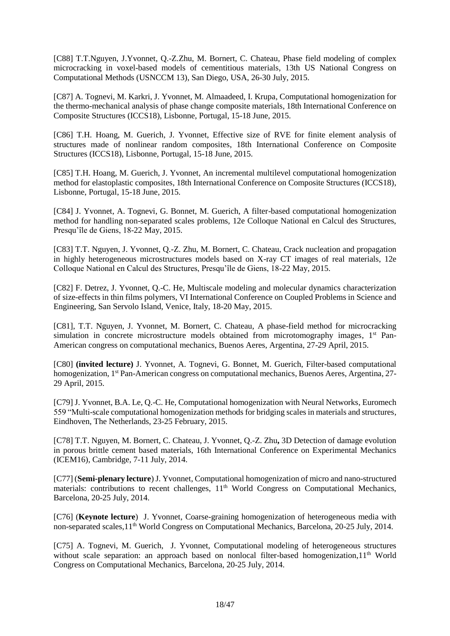[C88] T.T.Nguyen, J.Yvonnet, Q.-Z.Zhu, M. Bornert, C. Chateau, Phase field modeling of complex microcracking in voxel-based models of cementitious materials, 13th US National Congress on Computational Methods (USNCCM 13), San Diego, USA, 26-30 July, 2015.

[C87] A. Tognevi, M. Karkri, J. Yvonnet, M. Almaadeed, I. Krupa, Computational homogenization for the thermo-mechanical analysis of phase change composite materials, 18th International Conference on Composite Structures (ICCS18), Lisbonne, Portugal, 15-18 June, 2015.

[C86] T.H. Hoang, M. Guerich, J. Yvonnet, Effective size of RVE for finite element analysis of structures made of nonlinear random composites, 18th International Conference on Composite Structures (ICCS18), Lisbonne, Portugal, 15-18 June, 2015.

[C85] T.H. Hoang, M. Guerich, J. Yvonnet, An incremental multilevel computational homogenization method for elastoplastic composites, 18th International Conference on Composite Structures (ICCS18), Lisbonne, Portugal, 15-18 June, 2015.

[C84] J. Yvonnet, A. Tognevi, G. Bonnet, M. Guerich, A filter-based computational homogenization method for handling non-separated scales problems, 12e Colloque National en Calcul des Structures, Presqu'île de Giens, 18-22 May, 2015.

[C83] T.T. Nguyen, J. Yvonnet, Q.-Z. Zhu, M. Bornert, C. Chateau, Crack nucleation and propagation in highly heterogeneous microstructures models based on X-ray CT images of real materials, 12e Colloque National en Calcul des Structures, Presqu'île de Giens, 18-22 May, 2015.

[C82] F. Detrez, J. Yvonnet, Q.-C. He, Multiscale modeling and molecular dynamics characterization of size-effects in thin films polymers, VI International Conference on Coupled Problems in Science and Engineering, San Servolo Island, Venice, Italy, 18-20 May, 2015.

[C81], T.T. Nguyen, J. Yvonnet, M. Bornert, C. Chateau, A phase-field method for microcracking simulation in concrete microstructure models obtained from microtomography images, 1<sup>st</sup> Pan-American congress on computational mechanics, Buenos Aeres, Argentina, 27-29 April, 2015.

[C80] **(invited lecture)** J. Yvonnet, A. Tognevi, G. Bonnet, M. Guerich, Filter-based computational homogenization, 1<sup>st</sup> Pan-American congress on computational mechanics, Buenos Aeres, Argentina, 27-29 April, 2015.

[C79] J. Yvonnet, B.A. Le, Q.-C. He, Computational homogenization with Neural Networks, Euromech 559 "Multi-scale computational homogenization methods for bridging scales in materials and structures, Eindhoven, The Netherlands, 23-25 February, 2015.

[C78] T.T. Nguyen, M. Bornert, C. Chateau, J. Yvonnet, Q.-Z. Zhu**,** 3D Detection of damage evolution in porous brittle cement based materials, 16th International Conference on Experimental Mechanics (ICEM16), Cambridge, 7-11 July, 2014.

[C77] (**Semi-plenary lecture**) J. Yvonnet, Computational homogenization of micro and nano-structured materials: contributions to recent challenges, 11<sup>th</sup> World Congress on Computational Mechanics, Barcelona, 20-25 July, 2014.

[C76] (**Keynote lecture**) J. Yvonnet, Coarse-graining homogenization of heterogeneous media with non-separated scales, 11<sup>th</sup> World Congress on Computational Mechanics, Barcelona, 20-25 July, 2014.

[C75] A. Tognevi, M. Guerich, J. Yvonnet, Computational modeling of heterogeneous structures without scale separation: an approach based on nonlocal filter-based homogenization,  $11<sup>th</sup>$  World Congress on Computational Mechanics, Barcelona, 20-25 July, 2014.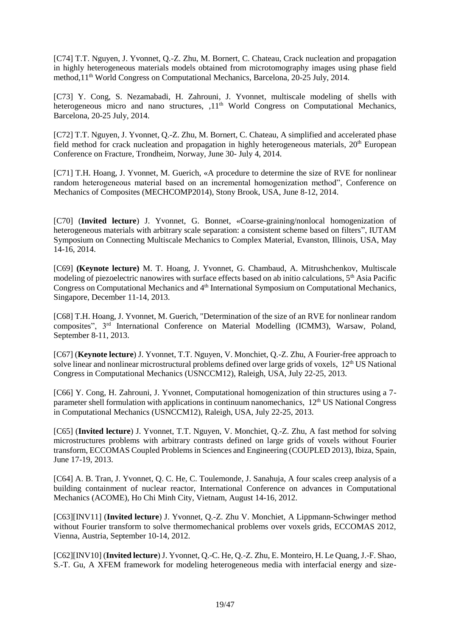[C74] T.T. Nguyen, J. Yvonnet, Q.-Z. Zhu, M. Bornert, C. Chateau, Crack nucleation and propagation in highly heterogeneous materials models obtained from microtomography images using phase field method, 11<sup>th</sup> World Congress on Computational Mechanics, Barcelona, 20-25 July, 2014.

[C73] Y. Cong, S. Nezamabadi, H. Zahrouni, J. Yvonnet, multiscale modeling of shells with heterogeneous micro and nano structures,  $.11<sup>th</sup>$  World Congress on Computational Mechanics, Barcelona, 20-25 July, 2014.

[C72] T.T. Nguyen, J. Yvonnet, Q.-Z. Zhu, M. Bornert, C. Chateau, A simplified and accelerated phase field method for crack nucleation and propagation in highly heterogeneous materials, 20<sup>th</sup> European Conference on Fracture, Trondheim, Norway, June 30- July 4, 2014.

[C71] T.H. Hoang, J. Yvonnet, M. Guerich, «A procedure to determine the size of RVE for nonlinear random heterogeneous material based on an incremental homogenization method", Conference on Mechanics of Composites (MECHCOMP2014), Stony Brook, USA, June 8-12, 2014.

[C70] (**Invited lecture**) J. Yvonnet, G. Bonnet, «Coarse-graining/nonlocal homogenization of heterogeneous materials with arbitrary scale separation: a consistent scheme based on filters", IUTAM Symposium on Connecting Multiscale Mechanics to Complex Material, Evanston, Illinois, USA, May 14-16, 2014.

[C69] **(Keynote lecture)** M. T. Hoang, J. Yvonnet, G. Chambaud, A. Mitrushchenkov, Multiscale modeling of piezoelectric nanowires with surface effects based on ab initio calculations, 5<sup>th</sup> Asia Pacific Congress on Computational Mechanics and 4<sup>th</sup> International Symposium on Computational Mechanics, Singapore, December 11-14, 2013.

[C68] T.H. Hoang, J. Yvonnet, M. Guerich, "Determination of the size of an RVE for nonlinear random composites", 3rd International Conference on Material Modelling (ICMM3), Warsaw, Poland, September 8-11, 2013.

[C67] (**Keynote lecture**) J. Yvonnet, T.T. Nguyen, V. Monchiet, Q.-Z. Zhu, A Fourier-free approach to solve linear and nonlinear microstructural problems defined over large grids of voxels, 12<sup>th</sup> US National Congress in Computational Mechanics (USNCCM12), Raleigh, USA, July 22-25, 2013.

[C66] Y. Cong, H. Zahrouni, J. Yvonnet, Computational homogenization of thin structures using a 7 parameter shell formulation with applications in continuum nanomechanics,  $12<sup>th</sup> US National Congress$ in Computational Mechanics (USNCCM12), Raleigh, USA, July 22-25, 2013.

[C65] (**Invited lecture**) J. Yvonnet, T.T. Nguyen, V. Monchiet, Q.-Z. Zhu, A fast method for solving microstructures problems with arbitrary contrasts defined on large grids of voxels without Fourier transform, ECCOMAS Coupled Problems in Sciences and Engineering (COUPLED 2013), Ibiza, Spain, June 17-19, 2013.

[C64] A. B. Tran, J. Yvonnet, O. C. He, C. Toulemonde, J. Sanahuja, A four scales creep analysis of a building containment of nuclear reactor, International Conference on advances in Computational Mechanics (ACOME), Ho Chi Minh City, Vietnam, August 14-16, 2012.

[C63][INV11] (**Invited lecture**) J. Yvonnet, Q.-Z. Zhu V. Monchiet, A Lippmann-Schwinger method without Fourier transform to solve thermomechanical problems over voxels grids, ECCOMAS 2012, Vienna, Austria, September 10-14, 2012.

[C62][INV10] (**Invited lecture**)J. Yvonnet, Q.-C. He, Q.-Z. Zhu, E. Monteiro, H. Le Quang, J.-F. Shao, S.-T. Gu, A XFEM framework for modeling heterogeneous media with interfacial energy and size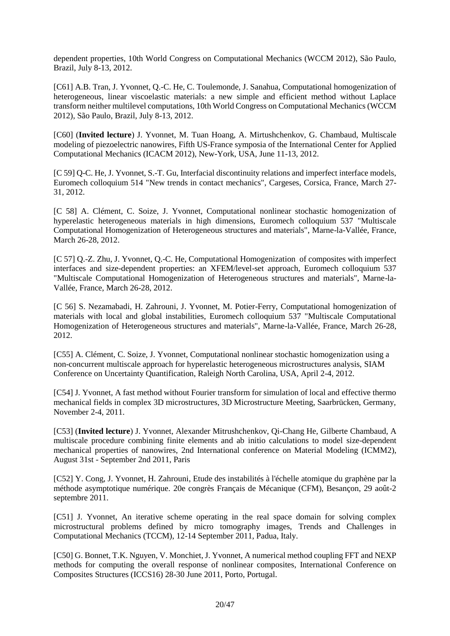dependent properties, 10th World Congress on Computational Mechanics (WCCM 2012), São Paulo, Brazil, July 8-13, 2012.

[C61] A.B. Tran, J. Yvonnet, Q.-C. He, C. Toulemonde, J. Sanahua, Computational homogenization of heterogeneous, linear viscoelastic materials: a new simple and efficient method without Laplace transform neither multilevel computations, 10th World Congress on Computational Mechanics (WCCM 2012), São Paulo, Brazil, July 8-13, 2012.

[C60] (**Invited lecture**) J. Yvonnet, M. Tuan Hoang, A. Mirtushchenkov, G. Chambaud, Multiscale modeling of piezoelectric nanowires, Fifth US-France symposia of the International Center for Applied Computational Mechanics (ICACM 2012), New-York, USA, June 11-13, 2012.

[C 59] O-C. He, J. Yvonnet, S.-T. Gu, Interfacial discontinuity relations and imperfect interface models, Euromech colloquium 514 "New trends in contact mechanics", Cargeses, Corsica, France, March 27- 31, 2012.

[C 58] A. Clément, C. Soize, J. Yvonnet, Computational nonlinear stochastic homogenization of hyperelastic heterogeneous materials in high dimensions, Euromech colloquium 537 "Multiscale Computational Homogenization of Heterogeneous structures and materials", Marne-la-Vallée, France, March 26-28, 2012.

[C 57] Q.-Z. Zhu, J. Yvonnet, Q.-C. He, Computational Homogenization of composites with imperfect interfaces and size-dependent properties: an XFEM/level-set approach, Euromech colloquium 537 "Multiscale Computational Homogenization of Heterogeneous structures and materials", Marne-la-Vallée, France, March 26-28, 2012.

[C 56] S. Nezamabadi, H. Zahrouni, J. Yvonnet, M. Potier-Ferry, Computational homogenization of materials with local and global instabilities, Euromech colloquium 537 "Multiscale Computational Homogenization of Heterogeneous structures and materials", Marne-la-Vallée, France, March 26-28, 2012.

[C55] A. Clément, C. Soize, J. Yvonnet, Computational nonlinear stochastic homogenization using a non-concurrent multiscale approach for hyperelastic heterogeneous microstructures analysis, SIAM Conference on Uncertainty Quantification, Raleigh North Carolina, USA, April 2-4, 2012.

[C54] J. Yvonnet, A fast method without Fourier transform for simulation of local and effective thermo mechanical fields in complex 3D microstructures, 3D Microstructure Meeting, Saarbrücken, Germany, November 2-4, 2011.

[C53] (**Invited lecture**) J. Yvonnet, Alexander Mitrushchenkov, Qi-Chang He, Gilberte Chambaud, A multiscale procedure combining finite elements and ab initio calculations to model size-dependent mechanical properties of nanowires, 2nd International conference on Material Modeling (ICMM2), August 31st - September 2nd 2011, Paris

[C52] Y. Cong, J. Yvonnet, H. Zahrouni, Etude des instabilités à l'échelle atomique du graphène par la méthode asymptotique numérique. 20e congrès Français de Mécanique (CFM), Besançon, 29 août-2 septembre 2011.

[C51] J. Yvonnet, An iterative scheme operating in the real space domain for solving complex microstructural problems defined by micro tomography images, Trends and Challenges in Computational Mechanics (TCCM), 12-14 September 2011, Padua, Italy.

[C50] G. Bonnet, T.K. Nguyen, V. Monchiet, J. Yvonnet, A numerical method coupling FFT and NEXP methods for computing the overall response of nonlinear composites, International Conference on Composites Structures (ICCS16) 28-30 June 2011, Porto, Portugal.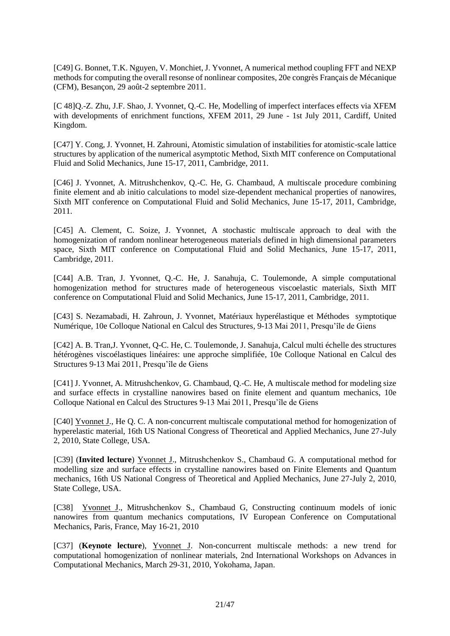[C49] G. Bonnet, T.K. Nguyen, V. Monchiet, J. Yvonnet, A numerical method coupling FFT and NEXP methods for computing the overall resonse of nonlinear composites, 20e congrès Français de Mécanique (CFM), Besançon, 29 août-2 septembre 2011.

[C 48]Q.-Z. Zhu, J.F. Shao, J. Yvonnet, Q.-C. He, Modelling of imperfect interfaces effects via XFEM with developments of enrichment functions, XFEM 2011, 29 June - 1st July 2011, Cardiff, United Kingdom.

[C47] Y. Cong, J. Yvonnet, H. Zahrouni, Atomistic simulation of instabilities for atomistic-scale lattice structures by application of the numerical asymptotic Method, Sixth MIT conference on Computational Fluid and Solid Mechanics, June 15-17, 2011, Cambridge, 2011.

[C46] J. Yvonnet, A. Mitrushchenkov, Q.-C. He, G. Chambaud, A multiscale procedure combining finite element and ab initio calculations to model size-dependent mechanical properties of nanowires, Sixth MIT conference on Computational Fluid and Solid Mechanics, June 15-17, 2011, Cambridge, 2011.

[C45] A. Clement, C. Soize, J. Yvonnet, A stochastic multiscale approach to deal with the homogenization of random nonlinear heterogeneous materials defined in high dimensional parameters space, Sixth MIT conference on Computational Fluid and Solid Mechanics, June 15-17, 2011, Cambridge, 2011.

[C44] A.B. Tran, J. Yvonnet, Q.-C. He, J. Sanahuja, C. Toulemonde, A simple computational homogenization method for structures made of heterogeneous viscoelastic materials, Sixth MIT conference on Computational Fluid and Solid Mechanics, June 15-17, 2011, Cambridge, 2011.

[C43] S. Nezamabadi, H. Zahroun, J. Yvonnet, Matériaux hyperélastique et Méthodes symptotique Numérique, 10e Colloque National en Calcul des Structures, 9-13 Mai 2011, Presqu'île de Giens

[C42] A. B. Tran,J. Yvonnet, Q-C. He, C. Toulemonde, J. Sanahuja, Calcul multi échelle des structures hétérogènes viscoélastiques linéaires: une approche simplifiée, 10e Colloque National en Calcul des Structures 9-13 Mai 2011, Presqu'île de Giens

[C41] J. Yvonnet, A. Mitrushchenkov, G. Chambaud, Q.-C. He, A multiscale method for modeling size and surface effects in crystalline nanowires based on finite element and quantum mechanics, 10e Colloque National en Calcul des Structures 9-13 Mai 2011, Presqu'île de Giens

[C40] Yvonnet J., He Q. C. A non-concurrent multiscale computational method for homogenization of hyperelastic material, 16th US National Congress of Theoretical and Applied Mechanics, June 27-July 2, 2010, State College, USA.

[C39] (**Invited lecture**) Yvonnet J., Mitrushchenkov S., Chambaud G. A computational method for modelling size and surface effects in crystalline nanowires based on Finite Elements and Quantum mechanics, 16th US National Congress of Theoretical and Applied Mechanics, June 27-July 2, 2010, State College, USA.

[C38] Yvonnet J., Mitrushchenkov S., Chambaud G, Constructing continuum models of ionic nanowires from quantum mechanics computations, IV European Conference on Computational Mechanics, Paris, France, May 16-21, 2010

[C37] (**Keynote lecture**), Yvonnet J. Non-concurrent multiscale methods: a new trend for computational homogenization of nonlinear materials, 2nd International Workshops on Advances in Computational Mechanics, March 29-31, 2010, Yokohama, Japan.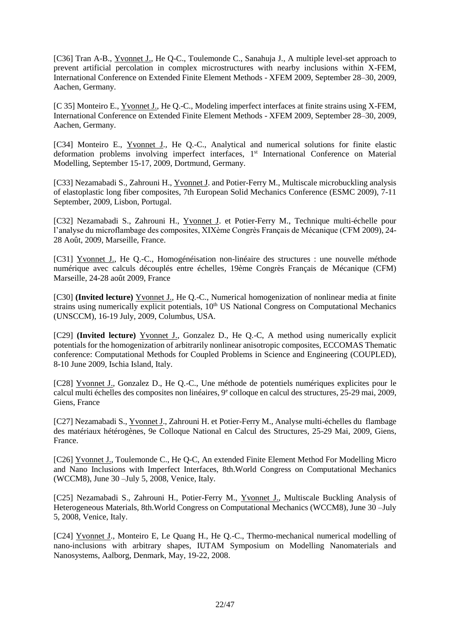[C36] Tran A-B., Yvonnet J., He Q-C., Toulemonde C., Sanahuja J., A multiple level-set approach to prevent artificial percolation in complex microstructures with nearby inclusions within X-FEM, International Conference on Extended Finite Element Methods - XFEM 2009, September 28–30, 2009, Aachen, Germany.

[C 35] Monteiro E., Yvonnet J., He Q.-C., Modeling imperfect interfaces at finite strains using X-FEM, International Conference on Extended Finite Element Methods - XFEM 2009, September 28–30, 2009, Aachen, Germany.

[C34] Monteiro E., Yvonnet J., He Q.-C., Analytical and numerical solutions for finite elastic deformation problems involving imperfect interfaces, 1<sup>st</sup> International Conference on Material Modelling, September 15-17, 2009, Dortmund, Germany.

[C33] Nezamabadi S., Zahrouni H., Yvonnet J. and Potier-Ferry M., Multiscale microbuckling analysis of elastoplastic long fiber composites, 7th European Solid Mechanics Conference (ESMC 2009), 7-11 September, 2009, Lisbon, Portugal.

[C32] Nezamabadi S., Zahrouni H., Yvonnet J. et Potier-Ferry M., Technique multi-échelle pour l'analyse du microflambage des composites, XIXème Congrès Français de Mécanique (CFM 2009), 24- 28 Août, 2009, Marseille, France.

[C31] Yvonnet J., He Q.-C., Homogénéisation non-linéaire des structures : une nouvelle méthode numérique avec calculs découplés entre échelles, 19ème Congrès Français de Mécanique (CFM) Marseille, 24-28 août 2009, France

[C30] **(Invited lecture)** Yvonnet J., He Q.-C., Numerical homogenization of nonlinear media at finite strains using numerically explicit potentials, 10<sup>th</sup> US National Congress on Computational Mechanics (UNSCCM), 16-19 July, 2009, Columbus, USA.

[C29] **(Invited lecture)** Yvonnet J., Gonzalez D., He Q.-C, A method using numerically explicit potentials for the homogenization of arbitrarily nonlinear anisotropic composites, ECCOMAS Thematic conference: Computational Methods for Coupled Problems in Science and Engineering (COUPLED), 8-10 June 2009, Ischia Island, Italy.

[C28] Yvonnet J., Gonzalez D., He Q.-C., Une méthode de potentiels numériques explicites pour le calcul multi échelles des composites non linéaires, 9<sup>e</sup> colloque en calcul des structures, 25-29 mai, 2009, Giens, France

[C27] Nezamabadi S., Yvonnet J., Zahrouni H. et Potier-Ferry M., Analyse multi-échelles du flambage des matériaux hétérogènes, 9e Colloque National en Calcul des Structures, 25-29 Mai, 2009, Giens, France.

[C26] Yvonnet J., Toulemonde C., He Q-C, An extended Finite Element Method For Modelling Micro and Nano Inclusions with Imperfect Interfaces, 8th.World Congress on Computational Mechanics (WCCM8), June 30 –July 5, 2008, Venice, Italy.

[C25] Nezamabadi S., Zahrouni H., Potier-Ferry M., Yvonnet J., Multiscale Buckling Analysis of Heterogeneous Materials, 8th.World Congress on Computational Mechanics (WCCM8), June 30 –July 5, 2008, Venice, Italy.

[C24] Yvonnet J., Monteiro E, Le Quang H., He Q.-C., Thermo-mechanical numerical modelling of nano-inclusions with arbitrary shapes, IUTAM Symposium on Modelling Nanomaterials and Nanosystems, Aalborg, Denmark, May, 19-22, 2008.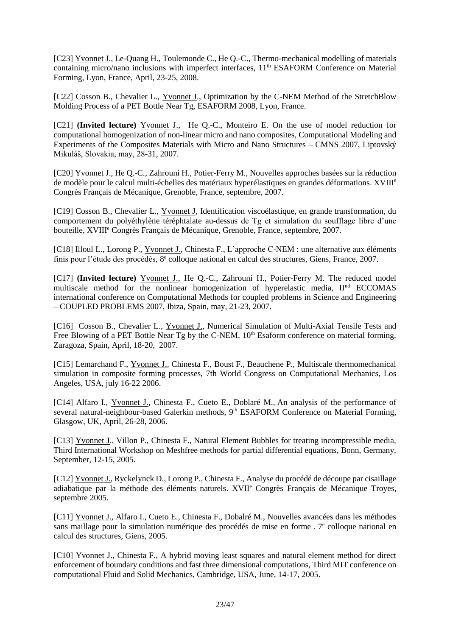[C23] Yvonnet J., Le-Quang H., Toulemonde C., He Q.-C., Thermo-mechanical modelling of materials containing micro/nano inclusions with imperfect interfaces, 11<sup>th</sup> ESAFORM Conference on Material Forming, Lyon, France, April, 23-25, 2008.

[C22] Cosson B., Chevalier L., Yvonnet J., Optimization by the C-NEM Method of the StretchBlow Molding Process of a PET Bottle Near Tg, ESAFORM 2008, Lyon, France.

[C21] **(Invited lecture)** Yvonnet J., He Q.-C., Monteiro E. On the use of model reduction for computational homogenization of non-linear micro and nano composites, Computational Modeling and Experiments of the Composites Materials with Micro and Nano Structures – CMNS 2007, Liptovský Mikuláš, Slovakia, may, 28-31, 2007.

[C20] Yvonnet J., He Q.-C., Zahrouni H., Potier-Ferry M., Nouvelles approches basées sur la réduction de modèle pour le calcul multi-échelles des matériaux hyperélastiques en grandes déformations. XVIII<sup>e</sup> Congrès Français de Mécanique, Grenoble, France, septembre, 2007.

[C19] Cosson B., Chevalier L., Yvonnet J, Identification viscoélastique, en grande transformation, du comportement du polyéthylène téréphtalate au-dessus de Tg et simulation du soufflage libre d'une bouteille, XVIII<sup>e</sup> Congrès Français de Mécanique, Grenoble, France, septembre, 2007.

[C18] Illoul L., Lorong P., Yvonnet J., Chinesta F., L'approche C-NEM : une alternative aux éléments finis pour l'étude des procédés, 8<sup>e</sup> colloque national en calcul des structures, Giens, France, 2007.

[C17] **(Invited lecture)** Yvonnet J., He Q.-C., Zahrouni H., Potier-Ferry M. The reduced model multiscale method for the nonlinear homogenization of hyperelastic media, II<sup>nd</sup> ECCOMAS international conference on Computational Methods for coupled problems in Science and Engineering – COUPLED PROBLEMS 2007, Ibiza, Spain, may, 21-23, 2007.

[C16] Cosson B., Chevalier L., Yvonnet J., Numerical Simulation of Multi-Axial Tensile Tests and Free Blowing of a PET Bottle Near Tg by the C-NEM,  $10<sup>th</sup>$  Esaform conference on material forming, Zaragoza, Spain, April, 18-20, 2007.

[C15] Lemarchand F., Yvonnet J., Chinesta F., Boust F., Beauchene P., Multiscale thermomechanical simulation in composite forming processes, 7th World Congress on Computational Mechanics, Los Angeles, USA, july 16-22 2006.

[C14] Alfaro I., Yvonnet J., Chinesta F., Cueto E., Doblaré M., An analysis of the performance of several natural-neighbour-based Galerkin methods, 9<sup>th</sup> ESAFORM Conference on Material Forming, Glasgow, UK, April, 26-28, 2006.

[C13] Yvonnet J., Villon P., Chinesta F., Natural Element Bubbles for treating incompressible media, Third International Workshop on Meshfree methods for partial differential equations, Bonn, Germany, September, 12-15, 2005.

[C12] Yvonnet J., Ryckelynck D., Lorong P., Chinesta F., Analyse du procédé de découpe par cisaillage adiabatique par la méthode des éléments naturels. XVII<sup>e</sup> Congrès Français de Mécanique Troyes, septembre 2005.

[C11] Yvonnet J., Alfaro I., Cueto E., Chinesta F., Dobalré M., Nouvelles avancées dans les méthodes sans maillage pour la simulation numérique des procédés de mise en forme. 7<sup>e</sup> colloque national en calcul des structures, Giens, 2005.

[C10] Yvonnet J., Chinesta F., A hybrid moving least squares and natural element method for direct enforcement of boundary conditions and fast three dimensional computations, Third MIT conference on computational Fluid and Solid Mechanics, Cambridge, USA, June, 14-17, 2005.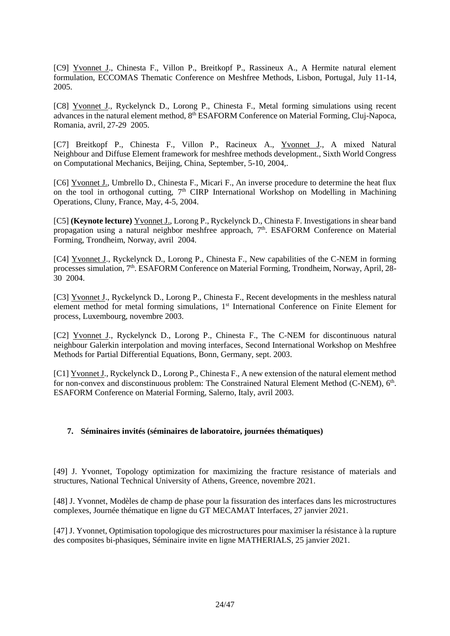[C9] Yvonnet J., Chinesta F., Villon P., Breitkopf P., Rassineux A., A Hermite natural element formulation, ECCOMAS Thematic Conference on Meshfree Methods, Lisbon, Portugal, July 11-14, 2005.

[C8] Yvonnet J., Ryckelynck D., Lorong P., Chinesta F., Metal forming simulations using recent advances in the natural element method, 8<sup>th</sup> ESAFORM Conference on Material Forming, Cluj-Napoca, Romania, avril, 27-29 2005.

[C7] Breitkopf P., Chinesta F., Villon P., Racineux A., Yvonnet J., A mixed Natural Neighbour and Diffuse Element framework for meshfree methods development., Sixth World Congress on Computational Mechanics, Beijing, China, September, 5-10, 2004,.

[C6] Yvonnet J., Umbrello D., Chinesta F., Micari F., An inverse procedure to determine the heat flux on the tool in orthogonal cutting, 7<sup>th</sup> CIRP International Workshop on Modelling in Machining Operations, Cluny, France, May, 4-5, 2004.

[C5] **(Keynote lecture)** Yvonnet J., Lorong P., Ryckelynck D., Chinesta F. Investigations in shear band propagation using a natural neighbor meshfree approach, 7<sup>th</sup>. ESAFORM Conference on Material Forming, Trondheim, Norway, avril 2004.

[C4] Yvonnet J., Ryckelynck D., Lorong P., Chinesta F., New capabilities of the C-NEM in forming processes simulation, 7<sup>th</sup>. ESAFORM Conference on Material Forming, Trondheim, Norway, April, 28-30 2004.

[C3] Yvonnet J., Ryckelynck D., Lorong P., Chinesta F., Recent developments in the meshless natural element method for metal forming simulations, 1<sup>st</sup> International Conference on Finite Element for process, Luxembourg, novembre 2003.

[C2] Yvonnet J., Ryckelynck D., Lorong P., Chinesta F., The C-NEM for discontinuous natural neighbour Galerkin interpolation and moving interfaces, Second International Workshop on Meshfree Methods for Partial Differential Equations, Bonn, Germany, sept. 2003.

[C1] Yvonnet J., Ryckelynck D., Lorong P., Chinesta F., A new extension of the natural element method for non-convex and disconstinuous problem: The Constrained Natural Element Method (C-NEM), 6<sup>th</sup>. ESAFORM Conference on Material Forming, Salerno, Italy, avril 2003.

#### **7. Séminaires invités (séminaires de laboratoire, journées thématiques)**

[49] J. Yvonnet, Topology optimization for maximizing the fracture resistance of materials and structures, National Technical University of Athens, Greence, novembre 2021.

[48] J. Yvonnet, Modèles de champ de phase pour la fissuration des interfaces dans les microstructures complexes, Journée thématique en ligne du GT MECAMAT Interfaces, 27 janvier 2021.

[47] J. Yvonnet, Optimisation topologique des microstructures pour maximiser la résistance à la rupture des composites bi-phasiques, Séminaire invite en ligne MATHERIALS, 25 janvier 2021.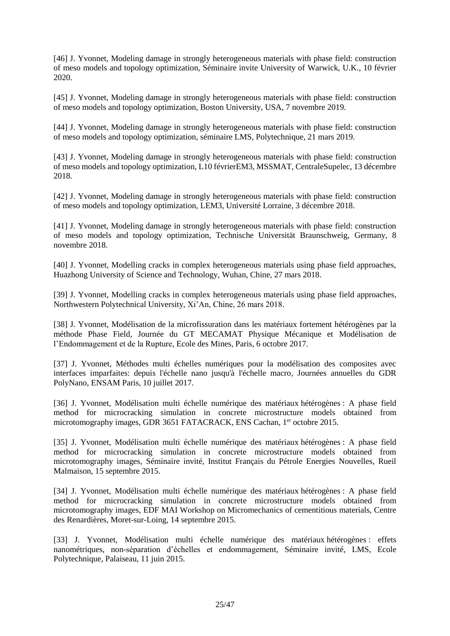[46] J. Yvonnet, Modeling damage in strongly heterogeneous materials with phase field: construction of meso models and topology optimization, Séminaire invite University of Warwick, U.K., 10 février 2020.

[45] J. Yvonnet, Modeling damage in strongly heterogeneous materials with phase field: construction of meso models and topology optimization, Boston University, USA, 7 novembre 2019.

[44] J. Yvonnet, Modeling damage in strongly heterogeneous materials with phase field: construction of meso models and topology optimization, séminaire LMS, Polytechnique, 21 mars 2019.

[43] J. Yvonnet, Modeling damage in strongly heterogeneous materials with phase field: construction of meso models and topology optimization, L10 févrierEM3, MSSMAT, CentraleSupelec, 13 décembre 2018.

[42] J. Yvonnet, Modeling damage in strongly heterogeneous materials with phase field: construction of meso models and topology optimization, LEM3, Université Lorraine, 3 décembre 2018.

[41] J. Yvonnet, Modeling damage in strongly heterogeneous materials with phase field: construction of meso models and topology optimization, Technische Universität Braunschweig, Germany, 8 novembre 2018.

[40] J. Yvonnet, Modelling cracks in complex heterogeneous materials using phase field approaches, Huazhong University of Science and Technology, Wuhan, Chine, 27 mars 2018.

[39] J. Yvonnet, Modelling cracks in complex heterogeneous materials using phase field approaches, Northwestern Polytechnical University, Xi'An, Chine, 26 mars 2018.

[38] J. Yvonnet, Modélisation de la microfissuration dans les matériaux fortement hétérogènes par la méthode Phase Field, Journée du GT MECAMAT Physique Mécanique et Modélisation de l'Endommagement et de la Rupture, Ecole des Mines, Paris, 6 octobre 2017.

[37] J. Yvonnet, Méthodes multi échelles numériques pour la modélisation des composites avec interfaces imparfaites: depuis l'échelle nano jusqu'à l'échelle macro, Journées annuelles du GDR PolyNano, ENSAM Paris, 10 juillet 2017.

[36] J. Yvonnet, Modélisation multi échelle numérique des matériaux hétérogènes : A phase field method for microcracking simulation in concrete microstructure models obtained from microtomography images, GDR 3651 FATACRACK, ENS Cachan, 1<sup>er</sup> octobre 2015.

[35] J. Yvonnet, Modélisation multi échelle numérique des matériaux hétérogènes : A phase field method for microcracking simulation in concrete microstructure models obtained from microtomography images, Séminaire invité, Institut Français du Pétrole Energies Nouvelles, Rueil Malmaison, 15 septembre 2015.

[34] J. Yvonnet, Modélisation multi échelle numérique des matériaux hétérogènes : A phase field method for microcracking simulation in concrete microstructure models obtained from microtomography images, EDF MAI Workshop on Micromechanics of cementitious materials, Centre des Renardières, Moret-sur-Loing, 14 septembre 2015.

[33] J. Yvonnet, Modélisation multi échelle numérique des matériaux hétérogènes : effets nanométriques, non-séparation d'échelles et endommagement, Séminaire invité, LMS, Ecole Polytechnique, Palaiseau, 11 juin 2015.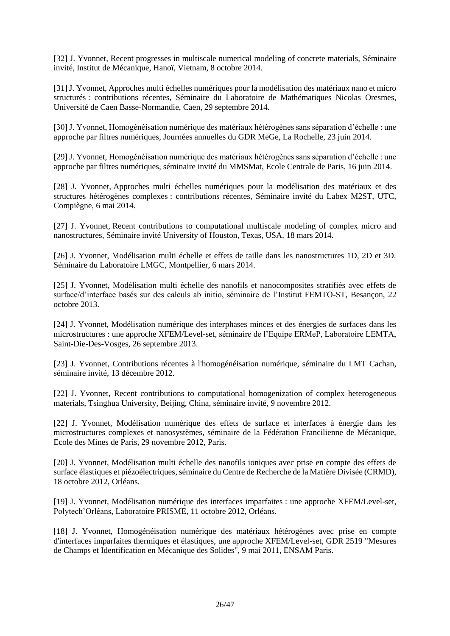[32] J. Yvonnet, Recent progresses in multiscale numerical modeling of concrete materials, Séminaire invité, Institut de Mécanique, Hanoï, Vietnam, 8 octobre 2014.

[31] J. Yvonnet, Approches multi échelles numériques pour la modélisation des matériaux nano et micro structurés : contributions récentes, Séminaire du Laboratoire de Mathématiques Nicolas Oresmes, Université de Caen Basse-Normandie, Caen, 29 septembre 2014.

[30] J. Yvonnet, Homogénéisation numérique des matériaux hétérogènes sans séparation d'échelle : une approche par filtres numériques, Journées annuelles du GDR MeGe, La Rochelle, 23 juin 2014.

[29] J. Yvonnet, Homogénéisation numérique des matériaux hétérogènes sans séparation d'échelle : une approche par filtres numériques, séminaire invité du MMSMat, Ecole Centrale de Paris, 16 juin 2014.

[28] J. Yvonnet, Approches multi échelles numériques pour la modélisation des matériaux et des structures hétérogènes complexes : contributions récentes, Séminaire invité du Labex M2ST, UTC, Compiègne, 6 mai 2014.

[27] J. Yvonnet, Recent contributions to computational multiscale modeling of complex micro and nanostructures, Séminaire invité University of Houston, Texas, USA, 18 mars 2014.

[26] J. Yvonnet, Modélisation multi échelle et effets de taille dans les nanostructures 1D, 2D et 3D. Séminaire du Laboratoire LMGC, Montpellier, 6 mars 2014.

[25] J. Yvonnet, Modélisation multi échelle des nanofils et nanocomposites stratifiés avec effets de surface/d'interface basés sur des calculs ab initio, séminaire de l'Institut FEMTO-ST, Besançon, 22 octobre 2013.

[24] J. Yvonnet, Modélisation numérique des interphases minces et des énergies de surfaces dans les microstructures : une approche XFEM/Level-set, séminaire de l'Equipe ERMeP, Laboratoire LEMTA, Saint-Die-Des-Vosges, 26 septembre 2013.

[23] J. Yvonnet, Contributions récentes à l'homogénéisation numérique, séminaire du LMT Cachan, séminaire invité, 13 décembre 2012.

[22] J. Yvonnet, Recent contributions to computational homogenization of complex heterogeneous materials, Tsinghua University, Beijing, China, séminaire invité, 9 novembre 2012.

[22] J. Yvonnet, Modélisation numérique des effets de surface et interfaces à énergie dans les microstructures complexes et nanosystèmes, séminaire de la Fédération Francilienne de Mécanique, Ecole des Mines de Paris, 29 novembre 2012, Paris.

[20] J. Yvonnet, Modélisation multi échelle des nanofils ioniques avec prise en compte des effets de surface élastiques et piézoélectriques, séminaire du Centre de Recherche de la Matière Divisée (CRMD), 18 octobre 2012, Orléans.

[19] J. Yvonnet, Modélisation numérique des interfaces imparfaites : une approche XFEM/Level-set, Polytech'Orléans, Laboratoire PRISME, 11 octobre 2012, Orléans.

[18] J. Yvonnet, Homogénéisation numérique des matériaux hétérogènes avec prise en compte d'interfaces imparfaites thermiques et élastiques, une approche XFEM/Level-set, GDR 2519 "Mesures de Champs et Identification en Mécanique des Solides", 9 mai 2011, ENSAM Paris.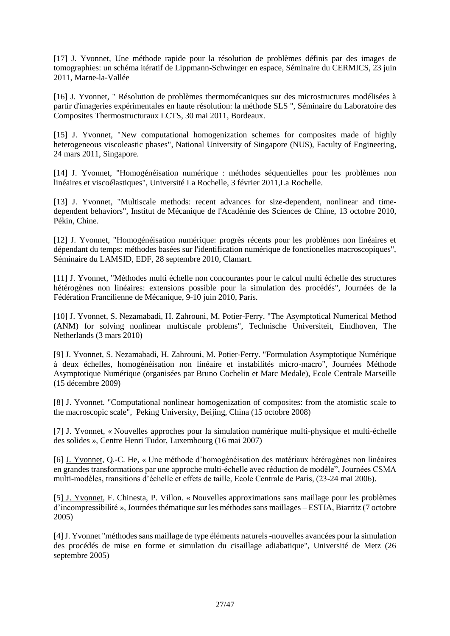[17] J. Yvonnet, Une méthode rapide pour la résolution de problèmes définis par des images de tomographies: un schéma itératif de Lippmann-Schwinger en espace, Séminaire du CERMICS, 23 juin 2011, Marne-la-Vallée

[16] J. Yvonnet, " Résolution de problèmes thermomécaniques sur des microstructures modélisées à partir d'imageries expérimentales en haute résolution: la méthode SLS ", Séminaire du Laboratoire des Composites Thermostructuraux LCTS, 30 mai 2011, Bordeaux.

[15] J. Yvonnet, "New computational homogenization schemes for composites made of highly heterogeneous viscoleastic phases", National University of Singapore (NUS), Faculty of Engineering, 24 mars 2011, Singapore.

[14] J. Yvonnet, "Homogénéisation numérique : méthodes séquentielles pour les problèmes non linéaires et viscoélastiques", Université La Rochelle, 3 février 2011,La Rochelle.

[13] J. Yvonnet, "Multiscale methods: recent advances for size-dependent, nonlinear and timedependent behaviors", Institut de Mécanique de l'Académie des Sciences de Chine, 13 octobre 2010, Pékin, Chine.

[12] J. Yvonnet, "Homogénéisation numérique: progrès récents pour les problèmes non linéaires et dépendant du temps: méthodes basées sur l'identification numérique de fonctionelles macroscopiques", Séminaire du LAMSID, EDF, 28 septembre 2010, Clamart.

[11] J. Yvonnet, "Méthodes multi échelle non concourantes pour le calcul multi échelle des structures hétérogènes non linéaires: extensions possible pour la simulation des procédés", Journées de la Fédération Francilienne de Mécanique, 9-10 juin 2010, Paris.

[10] J. Yvonnet, S. Nezamabadi, H. Zahrouni, M. Potier-Ferry. "The Asymptotical Numerical Method (ANM) for solving nonlinear multiscale problems", Technische Universiteit, Eindhoven, The Netherlands (3 mars 2010)

[9] J. Yvonnet, S. Nezamabadi, H. Zahrouni, M. Potier-Ferry. "Formulation Asymptotique Numérique à deux échelles, homogénéisation non linéaire et instabilités micro-macro", Journées Méthode Asymptotique Numérique (organisées par Bruno Cochelin et Marc Medale), Ecole Centrale Marseille (15 décembre 2009)

[8] J. Yvonnet. "Computational nonlinear homogenization of composites: from the atomistic scale to the macroscopic scale", Peking University, Beijing, China (15 octobre 2008)

[7] J. Yvonnet, « Nouvelles approches pour la simulation numérique multi-physique et multi-échelle des solides », Centre Henri Tudor, Luxembourg (16 mai 2007)

[6] J. Yvonnet, Q.-C. He, « Une méthode d'homogénéisation des matériaux hétérogènes non linéaires en grandes transformations par une approche multi-échelle avec réduction de modèle", Journées CSMA multi-modèles, transitions d'échelle et effets de taille, Ecole Centrale de Paris, (23-24 mai 2006).

[5] J. Yvonnet, F. Chinesta, P. Villon. « Nouvelles approximations sans maillage pour les problèmes d'incompressibilité », Journées thématique sur les méthodes sans maillages – ESTIA, Biarritz (7 octobre 2005)

[4]J. Yvonnet "méthodes sans maillage de type éléments naturels -nouvelles avancées pour la simulation des procédés de mise en forme et simulation du cisaillage adiabatique", Université de Metz (26 septembre 2005)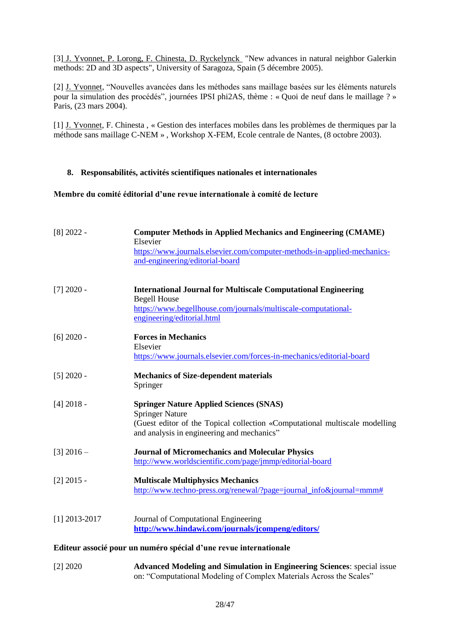[3] J. Yvonnet, P. Lorong, F. Chinesta, D. Ryckelynck "New advances in natural neighbor Galerkin methods: 2D and 3D aspects", University of Saragoza, Spain (5 décembre 2005).

[2] J. Yvonnet, "Nouvelles avancées dans les méthodes sans maillage basées sur les éléments naturels pour la simulation des procédés", journées IPSI phi2AS, thème : « Quoi de neuf dans le maillage ? » Paris, (23 mars 2004).

[1] J. Yvonnet, F. Chinesta , « Gestion des interfaces mobiles dans les problèmes de thermiques par la méthode sans maillage C-NEM » , Workshop X-FEM, Ecole centrale de Nantes, (8 octobre 2003).

#### **8. Responsabilités, activités scientifiques nationales et internationales**

#### **Membre du comité éditorial d'une revue internationale à comité de lecture**

| $[8]$ 2022 -    | <b>Computer Methods in Applied Mechanics and Engineering (CMAME)</b><br>Elsevier<br>https://www.journals.elsevier.com/computer-methods-in-applied-mechanics-<br>and-engineering/editorial-board       |
|-----------------|-------------------------------------------------------------------------------------------------------------------------------------------------------------------------------------------------------|
| $[7]$ 2020 -    | <b>International Journal for Multiscale Computational Engineering</b><br><b>Begell House</b><br>https://www.begellhouse.com/journals/multiscale-computational-<br>engineering/editorial.html          |
| $[6]$ 2020 -    | <b>Forces in Mechanics</b><br>Elsevier<br>https://www.journals.elsevier.com/forces-in-mechanics/editorial-board                                                                                       |
| $[5]$ 2020 -    | <b>Mechanics of Size-dependent materials</b><br>Springer                                                                                                                                              |
| $[4]$ 2018 -    | <b>Springer Nature Applied Sciences (SNAS)</b><br><b>Springer Nature</b><br>(Guest editor of the Topical collection «Computational multiscale modelling<br>and analysis in engineering and mechanics" |
| $[3]$ 2016 –    | <b>Journal of Micromechanics and Molecular Physics</b><br>http://www.worldscientific.com/page/jmmp/editorial-board                                                                                    |
| $[2]$ 2015 -    | <b>Multiscale Multiphysics Mechanics</b><br>http://www.techno-press.org/renewal/?page=journal_info&journal=mmm#                                                                                       |
| $[1]$ 2013-2017 | Journal of Computational Engineering<br>http://www.hindawi.com/journals/jcompeng/editors/                                                                                                             |

## **Editeur associé pour un numéro spécial d'une revue internationale**

[2] 2020 **Advanced Modeling and Simulation in Engineering Sciences**: special issue on: "Computational Modeling of Complex Materials Across the Scales"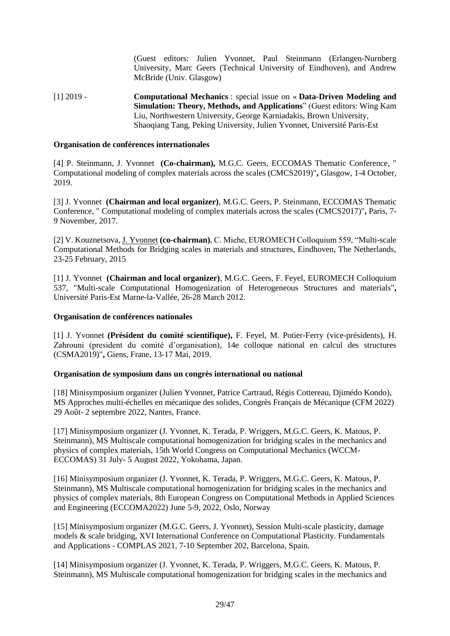(Guest editors: Julien Yvonnet, Paul Steinmann (Erlangen-Nurnberg University, Marc Geers (Technical University of Eindhoven), and Andrew McBride (Univ. Glasgow)

[1] 2019 - **Computational Mechanics** : special issue on « **Data-Driven Modeling and Simulation: Theory, Methods, and Applications**" (Guest editors: Wing Kam Liu, Northwestern University, George Karniadakis, Brown University, Shaoqiang Tang, Peking University, Julien Yvonnet, Université Paris-Est

#### **Organisation de conférences internationales**

[4] P. Steinmann, J. Yvonnet **(Co-chairman),** M.G.C. Geers, ECCOMAS Thematic Conference, " Computational modeling of complex materials across the scales (CMCS2019)"**,** Glasgow, 1-4 October, 2019.

[3] J. Yvonnet **(Chairman and local organizer)**, M.G.C. Geers, P. Steinmann, ECCOMAS Thematic Conference, " Computational modeling of complex materials across the scales (CMCS2017)"**,** Paris, 7- 9 November, 2017.

[2] V. Kouznetsova, J. Yvonnet **(co-chairman)**, C. Miehe, EUROMECH Colloquium 559, "Multi-scale Computational Methods for Bridging scales in materials and structures, Eindhoven, The Netherlands, 23-25 February, 2015

[1] J. Yvonnet **(Chairman and local organizer)**, M.G.C. Geers, F. Feyel, EUROMECH Colloquium 537, "Multi-scale Computational Homogenization of Heterogeneous Structures and materials"**,** Université Paris-Est Marne-la-Vallée, 26-28 March 2012.

#### **Organisation de conférences nationales**

[1] J. Yvonnet **(Président du comité scientifique),** F. Feyel, M. Potier-Ferry (vice-présidents), H. Zahrouni (president du comité d'organisation), 14e colloque national en calcul des structures (CSMA2019)"**,** Giens, Frane, 13-17 Mai, 2019.

#### **Organisation de symposium dans un congrès international ou national**

[18] Minisymposium organizer (Julien Yvonnet, Patrice Cartraud, Régis Cottereau, Djimédo Kondo), MS Approches multi-échelles en mécanique des solides, Congrès Français de Mécanique (CFM 2022) 29 Août- 2 septembre 2022, Nantes, France.

[17] Minisymposium organizer (J. Yvonnet, K. Terada, P. Wriggers, M.G.C. Geers, K. Matous, P. Steinmann), MS Multiscale computational homogenization for bridging scales in the mechanics and physics of complex materials, 15th World Congress on Computational Mechanics (WCCM-ECCOMAS) 31 July- 5 August 2022, Yokohama, Japan.

[16] Minisymposium organizer (J. Yvonnet, K. Terada, P. Wriggers, M.G.C. Geers, K. Matous, P. Steinmann), MS Multiscale computational homogenization for bridging scales in the mechanics and physics of complex materials, 8th European Congress on Computational Methods in Applied Sciences and Engineering (ECCOMA2022) June 5-9, 2022, Oslo, Norway

[15] Minisymposium organizer (M.G.C. Geers, J. Yvonnet), Session Multi-scale plasticity, damage models & scale bridging, XVI International Conference on Computational Plasticity. Fundamentals and Applications - COMPLAS 2021, 7-10 September 202, Barcelona, Spain.

[14] Minisymposium organizer (J. Yvonnet, K. Terada, P. Wriggers, M.G.C. Geers, K. Matous, P. Steinmann), MS Multiscale computational homogenization for bridging scales in the mechanics and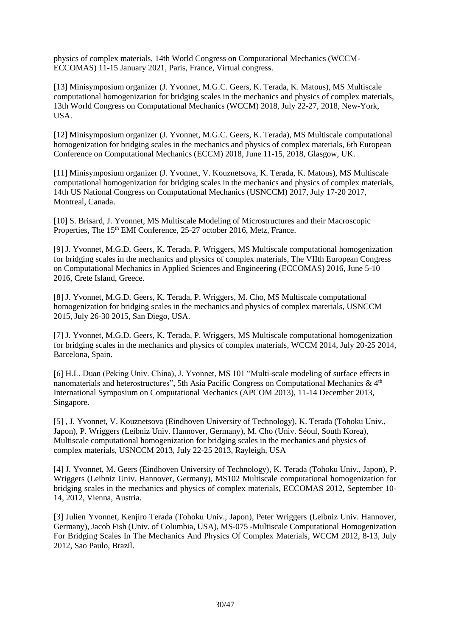physics of complex materials, 14th World Congress on Computational Mechanics (WCCM-ECCOMAS) 11-15 January 2021, Paris, France, Virtual congress.

[13] Minisymposium organizer (J. Yvonnet, M.G.C. Geers, K. Terada, K. Matous), MS Multiscale computational homogenization for bridging scales in the mechanics and physics of complex materials, 13th World Congress on Computational Mechanics (WCCM) 2018, July 22-27, 2018, New-York, USA.

[12] Minisymposium organizer (J. Yvonnet, M.G.C. Geers, K. Terada), MS Multiscale computational homogenization for bridging scales in the mechanics and physics of complex materials, 6th European Conference on Computational Mechanics (ECCM) 2018, June 11-15, 2018, Glasgow, UK.

[11] Minisymposium organizer (J. Yvonnet, V. Kouznetsova, K. Terada, K. Matous), MS Multiscale computational homogenization for bridging scales in the mechanics and physics of complex materials, 14th US National Congress on Computational Mechanics (USNCCM) 2017, July 17-20 2017, Montreal, Canada.

[10] S. Brisard, J. Yvonnet, MS Multiscale Modeling of Microstructures and their Macroscopic Properties, The 15<sup>th</sup> EMI Conference, 25-27 october 2016, Metz, France.

[9] J. Yvonnet, M.G.D. Geers, K. Terada, P. Wriggers, M[S Multiscale computational homogenization](http://eccomas2012.conf.tuwien.ac.at/no_cache/scientific-programme/mini-symposia/single/newsitem/multiscale-computational-homogenization-for-bridging-scales-in-the-mechanics-and-physics-of-complex.html)  [for bridging scales in the mechanics and physics of complex materials,](http://eccomas2012.conf.tuwien.ac.at/no_cache/scientific-programme/mini-symposia/single/newsitem/multiscale-computational-homogenization-for-bridging-scales-in-the-mechanics-and-physics-of-complex.html) The VIIth European Congress on Computational Mechanics in Applied Sciences and Engineering (ECCOMAS) 2016, June 5-10 2016, Crete Island, Greece.

[8] J. Yvonnet, M.G.D. Geers, K. Terada, P. Wriggers, M. Cho, M[S Multiscale computational](http://eccomas2012.conf.tuwien.ac.at/no_cache/scientific-programme/mini-symposia/single/newsitem/multiscale-computational-homogenization-for-bridging-scales-in-the-mechanics-and-physics-of-complex.html)  [homogenization for bridging scales in the mechanics and physics of complex materials,](http://eccomas2012.conf.tuwien.ac.at/no_cache/scientific-programme/mini-symposia/single/newsitem/multiscale-computational-homogenization-for-bridging-scales-in-the-mechanics-and-physics-of-complex.html) USNCCM 2015, July 26-30 2015, San Diego, USA.

[7] J. Yvonnet, M.G.D. Geers, K. Terada, P. Wriggers, M[S Multiscale computational homogenization](http://eccomas2012.conf.tuwien.ac.at/no_cache/scientific-programme/mini-symposia/single/newsitem/multiscale-computational-homogenization-for-bridging-scales-in-the-mechanics-and-physics-of-complex.html)  [for bridging scales in the mechanics and physics of complex materials,](http://eccomas2012.conf.tuwien.ac.at/no_cache/scientific-programme/mini-symposia/single/newsitem/multiscale-computational-homogenization-for-bridging-scales-in-the-mechanics-and-physics-of-complex.html) WCCM 2014, July 20-25 2014, Barcelona, Spain.

[6] H.L. Duan (Peking Univ. China), J. Yvonnet, MS 101 "Multi-scale modeling of surface effects in nanomaterials and heterostructures", 5th Asia Pacific Congress on Computational Mechanics  $\& 4<sup>th</sup>$ International Symposium on Computational Mechanics (APCOM 2013), 11-14 December 2013, Singapore.

[5] , J. Yvonnet, V. Kouznetsova (Eindhoven University of Technology), K. Terada (Tohoku Univ., Japon), P. Wriggers (Leibniz Univ. Hannover, Germany), M. Cho (Univ. Séoul, South Korea), [Multiscale computational homogenization for bridging scales in the mechanics and physics of](http://eccomas2012.conf.tuwien.ac.at/no_cache/scientific-programme/mini-symposia/single/newsitem/multiscale-computational-homogenization-for-bridging-scales-in-the-mechanics-and-physics-of-complex.html)  [complex materials,](http://eccomas2012.conf.tuwien.ac.at/no_cache/scientific-programme/mini-symposia/single/newsitem/multiscale-computational-homogenization-for-bridging-scales-in-the-mechanics-and-physics-of-complex.html) USNCCM 2013, July 22-25 2013, Rayleigh, USA

[4] J. Yvonnet, M. Geers (Eindhoven University of Technology), K. Terada (Tohoku Univ., Japon), P. Wriggers (Leibniz Univ. Hannover, Germany), MS102 [Multiscale computational homogenization for](http://eccomas2012.conf.tuwien.ac.at/no_cache/scientific-programme/mini-symposia/single/newsitem/multiscale-computational-homogenization-for-bridging-scales-in-the-mechanics-and-physics-of-complex.html)  [bridging scales in the mechanics and physics of complex materials,](http://eccomas2012.conf.tuwien.ac.at/no_cache/scientific-programme/mini-symposia/single/newsitem/multiscale-computational-homogenization-for-bridging-scales-in-the-mechanics-and-physics-of-complex.html) ECCOMAS 2012, September 10- 14, 2012, Vienna, Austria.

[3] Julien Yvonnet, Kenjiro Terada (Tohoku Univ., Japon), Peter Wriggers (Leibniz Univ. Hannover, Germany), Jacob Fish (Univ. of Columbia, USA), [MS-075 -Multiscale Computational Homogenization](http://www.wccm2012.com/minisymposia.asp)  [For Bridging Scales In The Mechanics And Physics Of Complex Materials,](http://www.wccm2012.com/minisymposia.asp) WCCM 2012, 8-13, July 2012, Sao Paulo, Brazil.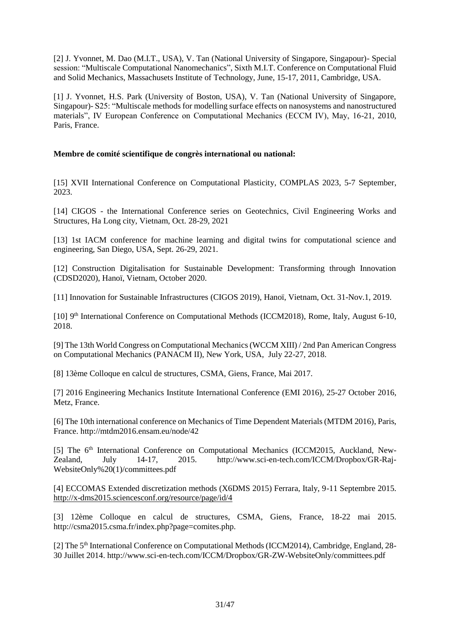[2] J. Yvonnet, M. Dao (M.I.T., USA), V. Tan (National University of Singapore, Singapour)- Special session: "Multiscale Computational Nanomechanics", Sixth M.I.T. Conference on Computational Fluid and Solid Mechanics, Massachusets Institute of Technology, June, 15-17, 2011, Cambridge, USA.

[1] J. Yvonnet, H.S. Park (University of Boston, USA), V. Tan (National University of Singapore, Singapour)- S25: "Multiscale methods for modelling surface effects on nanosystems and nanostructured materials", IV European Conference on Computational Mechanics (ECCM IV), May, 16-21, 2010, Paris, France.

## **Membre de comité scientifique de congrès international ou national:**

[15] XVII International Conference on Computational Plasticity, COMPLAS 2023, 5-7 September, 2023.

[14] CIGOS - the International Conference series on Geotechnics, Civil Engineering Works and Structures, Ha Long city, Vietnam, Oct. 28-29, 2021

[13] 1st IACM conference for machine learning and digital twins for computational science and engineering, San Diego, USA, Sept. 26-29, 2021.

[12] Construction Digitalisation for Sustainable Development: Transforming through Innovation (CDSD2020), Hanoï, Vietnam, October 2020.

[11] Innovation for Sustainable Infrastructures (CIGOS 2019), Hanoï, Vietnam, Oct. 31-Nov.1, 2019.

[10] 9th International Conference on Computational Methods (ICCM2018), Rome, Italy, August 6-10, 2018.

[9] The 13th World Congress on Computational Mechanics (WCCM XIII) / 2nd Pan American Congress on Computational Mechanics (PANACM II), New York, USA, July 22-27, 2018.

[8] 13ème Colloque en calcul de structures, CSMA, Giens, France, Mai 2017.

[7] 2016 Engineering Mechanics Institute International Conference (EMI 2016), 25-27 October 2016, Metz, France.

[6] The 10th international conference on Mechanics of Time Dependent Materials (MTDM 2016), Paris, France. http://mtdm2016.ensam.eu/node/42

[5] The 6<sup>th</sup> International Conference on Computational Mechanics (ICCM2015, Auckland, New-Zealand, July 14-17, 2015. http://www.sci-en-tech.com/ICCM/Dropbox/GR-Raj-WebsiteOnly%20(1)/committees.pdf

[4] ECCOMAS Extended discretization methods (X6DMS 2015) Ferrara, Italy, 9-11 Septembre 2015. <http://x-dms2015.sciencesconf.org/resource/page/id/4>

[3] 12ème Colloque en calcul de structures, CSMA, Giens, France, 18-22 mai 2015. http://csma2015.csma.fr/index.php?page=comites.php.

[2] The 5<sup>th</sup> International Conference on Computational Methods (ICCM2014), Cambridge, England, 28-30 Juillet 2014. http://www.sci-en-tech.com/ICCM/Dropbox/GR-ZW-WebsiteOnly/committees.pdf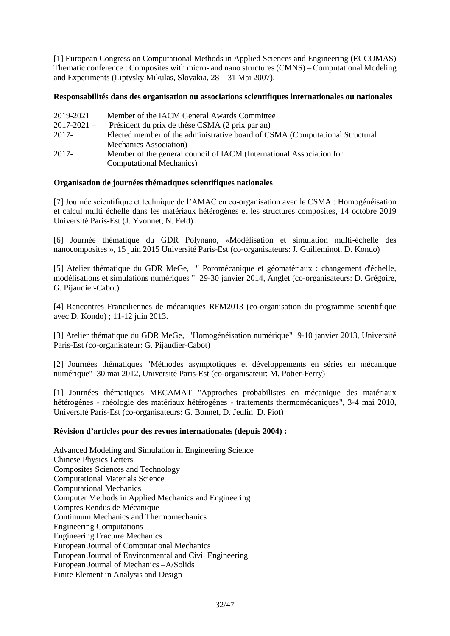[1] European Congress on Computational Methods in Applied Sciences and Engineering (ECCOMAS) Thematic conference : Composites with micro- and nano structures (CMNS) – Computational Modeling and Experiments (Liptvsky Mikulas, Slovakia, 28 – 31 Mai 2007).

#### **Responsabilités dans des organisation ou associations scientifiques internationales ou nationales**

| 2019-2021       | Member of the IACM General Awards Committee                                  |
|-----------------|------------------------------------------------------------------------------|
| $2017 - 2021 -$ | Président du prix de thèse CSMA (2 prix par an)                              |
| 2017-           | Elected member of the administrative board of CSMA (Computational Structural |
|                 | Mechanics Association)                                                       |
| $2017 -$        | Member of the general council of IACM (International Association for         |
|                 | <b>Computational Mechanics</b> )                                             |

## **Organisation de journées thématiques scientifiques nationales**

[7] Journée scientifique et technique de l'AMAC en co-organisation avec le CSMA : Homogénéisation et calcul multi échelle dans les matériaux hétérogènes et les structures composites, 14 octobre 2019 Université Paris-Est (J. Yvonnet, N. Feld)

[6] Journée thématique du GDR Polynano, «Modélisation et simulation multi-échelle des nanocomposites », 15 juin 2015 Université Paris-Est (co-organisateurs: J. Guilleminot, D. Kondo)

[5] Atelier thématique du GDR MeGe, " Poromécanique et géomatériaux : changement d'échelle, modélisations et simulations numériques " 29-30 janvier 2014, Anglet (co-organisateurs: D. Grégoire, G. Pijaudier-Cabot)

[4] Rencontres Franciliennes de mécaniques RFM2013 (co-organisation du programme scientifique avec D. Kondo) ; 11-12 juin 2013.

[3] Atelier thématique du GDR MeGe, "Homogénéisation numérique" 9-10 janvier 2013, Université Paris-Est (co-organisateur: G. Pijaudier-Cabot)

[2] Journées thématiques "Méthodes asymptotiques et développements en séries en mécanique numérique" 30 mai 2012, Université Paris-Est (co-organisateur: M. Potier-Ferry)

[1] Journées thématiques MECAMAT "Approches probabilistes en mécanique des matériaux hétérogènes - rhéologie des matériaux hétérogènes - traitements thermomécaniques", 3-4 mai 2010, Université Paris-Est (co-organisateurs: G. Bonnet, D. Jeulin D. Piot)

#### **Révision d'articles pour des revues internationales (depuis 2004) :**

Advanced Modeling and Simulation in Engineering Science Chinese Physics Letters Composites Sciences and Technology Computational Materials Science Computational Mechanics Computer Methods in Applied Mechanics and Engineering Comptes Rendus de Mécanique Continuum Mechanics and Thermomechanics Engineering Computations Engineering Fracture Mechanics European Journal of Computational Mechanics European Journal of Environmental and Civil Engineering European Journal of Mechanics –A/Solids Finite Element in Analysis and Design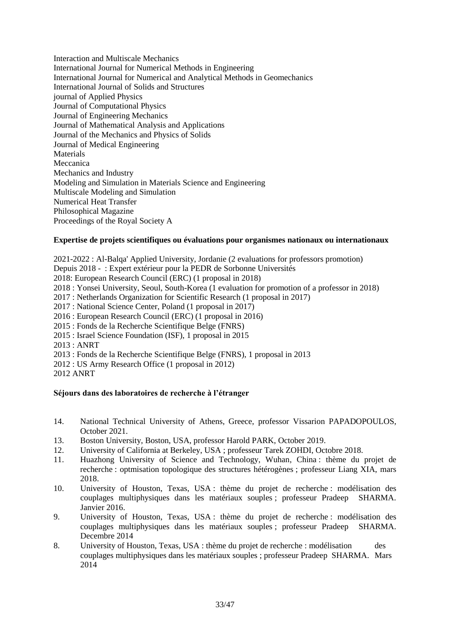Interaction and Multiscale Mechanics International Journal for Numerical Methods in Engineering International Journal for Numerical and Analytical Methods in Geomechanics International Journal of Solids and Structures journal of Applied Physics Journal of Computational Physics Journal of Engineering Mechanics Journal of Mathematical Analysis and Applications Journal of the Mechanics and Physics of Solids Journal of Medical Engineering Materials Meccanica Mechanics and Industry Modeling and Simulation in Materials Science and Engineering Multiscale Modeling and Simulation Numerical Heat Transfer Philosophical Magazine Proceedings of the Royal Society A

#### **Expertise de projets scientifiques ou évaluations pour organismes nationaux ou internationaux**

2021-2022 : Al-Balqa' Applied University, Jordanie (2 evaluations for professors promotion) Depuis 2018 - : Expert extérieur pour la PEDR de Sorbonne Universités 2018: European Research Council (ERC) (1 proposal in 2018) 2018 : Yonsei University, Seoul, South-Korea (1 evaluation for promotion of a professor in 2018) 2017 : Netherlands Organization for Scientific Research (1 proposal in 2017) 2017 : National Science Center, Poland (1 proposal in 2017) 2016 : European Research Council (ERC) (1 proposal in 2016) 2015 : Fonds de la Recherche Scientifique Belge (FNRS) 2015 : Israel Science Foundation (ISF), 1 proposal in 2015 2013 : ANRT 2013 : Fonds de la Recherche Scientifique Belge (FNRS), 1 proposal in 2013 2012 : US Army Research Office (1 proposal in 2012)

2012 ANRT

#### **Séjours dans des laboratoires de recherche à l'étranger**

- 14. National Technical University of Athens, Greece, professor Vissarion PAPADOPOULOS, October 2021.
- 13. Boston University, Boston, USA, professor Harold PARK, October 2019.
- 12. University of California at Berkeley, USA ; professeur Tarek ZOHDI, Octobre 2018.
- 11. Huazhong University of Science and Technology, Wuhan, China : thème du projet de recherche : optmisation topologique des structures hétérogènes ; professeur Liang XIA, mars 2018.
- 10. University of Houston, Texas, USA : thème du projet de recherche : modélisation des couplages multiphysiques dans les matériaux souples ; professeur Pradeep SHARMA. Janvier 2016.
- 9. University of Houston, Texas, USA : thème du projet de recherche : modélisation des couplages multiphysiques dans les matériaux souples ; professeur Pradeep SHARMA. Decembre 2014
- 8. University of Houston, Texas, USA : thème du projet de recherche : modélisation des couplages multiphysiques dans les matériaux souples ; professeur Pradeep SHARMA. Mars 2014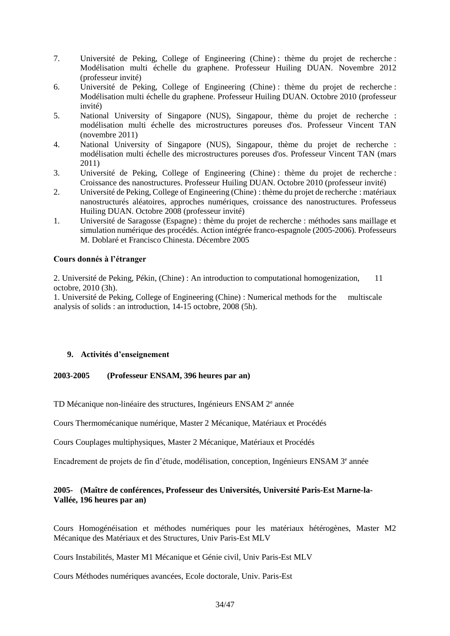- 7. Université de Peking, College of Engineering (Chine) : thème du projet de recherche : Modélisation multi échelle du graphene. Professeur Huiling DUAN. Novembre 2012 (professeur invité)
- 6. Université de Peking, College of Engineering (Chine) : thème du projet de recherche : Modélisation multi échelle du graphene. Professeur Huiling DUAN. Octobre 2010 (professeur invité)
- 5. National University of Singapore (NUS), Singapour, thème du projet de recherche : modélisation multi échelle des microstructures poreuses d'os. Professeur Vincent TAN (novembre 2011)
- 4. National University of Singapore (NUS), Singapour, thème du projet de recherche : modélisation multi échelle des microstructures poreuses d'os. Professeur Vincent TAN (mars 2011)
- 3. Université de Peking, College of Engineering (Chine) : thème du projet de recherche : Croissance des nanostructures. Professeur Huiling DUAN. Octobre 2010 (professeur invité)
- 2. Université de Peking, College of Engineering (Chine) : thème du projet de recherche : matériaux nanostructurés aléatoires, approches numériques, croissance des nanostructures. Professeus Huiling DUAN. Octobre 2008 (professeur invité)
- 1. Université de Saragosse (Espagne) : thème du projet de recherche : méthodes sans maillage et simulation numérique des procédés. Action intégrée franco-espagnole (2005-2006). Professeurs M. Doblaré et Francisco Chinesta. Décembre 2005

## **Cours donnés à l'étranger**

2. Université de Peking, Pékin, (Chine) : An introduction to computational homogenization, 11 octobre, 2010 (3h).

1. Université de Peking, College of Engineering (Chine) : Numerical methods for the multiscale analysis of solids : an introduction, 14-15 octobre, 2008 (5h).

#### **9. Activités d'enseignement**

#### **2003-2005 (Professeur ENSAM, 396 heures par an)**

TD Mécanique non-linéaire des structures, Ingénieurs ENSAM 2<sup>e</sup> année

Cours Thermomécanique numérique, Master 2 Mécanique, Matériaux et Procédés

Cours Couplages multiphysiques, Master 2 Mécanique, Matériaux et Procédés

Encadrement de projets de fin d'étude, modélisation, conception, Ingénieurs ENSAM 3<sup>e</sup> année

#### **2005- (Maître de conférences, Professeur des Universités, Université Paris-Est Marne-la-Vallée, 196 heures par an)**

Cours Homogénéisation et méthodes numériques pour les matériaux hétérogènes, Master M2 Mécanique des Matériaux et des Structures, Univ Paris-Est MLV

Cours Instabilités, Master M1 Mécanique et Génie civil, Univ Paris-Est MLV

Cours Méthodes numériques avancées, Ecole doctorale, Univ. Paris-Est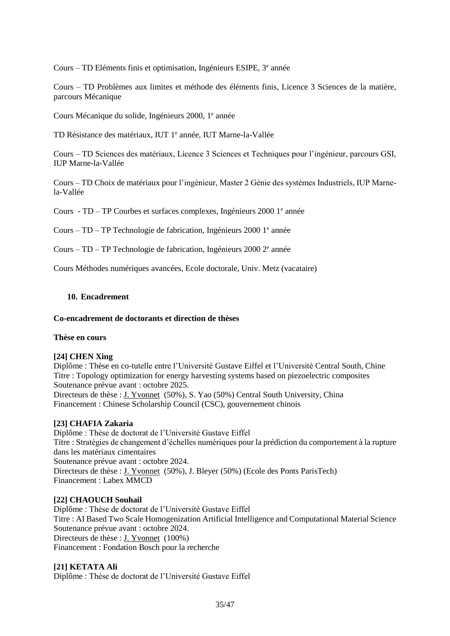Cours – TD Eléments finis et optimisation, Ingénieurs ESIPE, 3<sup>e</sup> année

Cours – TD Problèmes aux limites et méthode des éléments finis, Licence 3 Sciences de la matière, parcours Mécanique

Cours Mécanique du solide, Ingénieurs 2000, 1<sup>e</sup> année

TD Résistance des matériaux, IUT 1<sup>e</sup> année, IUT Marne-la-Vallée

Cours – TD Sciences des matériaux, Licence 3 Sciences et Techniques pour l'ingénieur, parcours GSI, IUP Marne-la-Vallée

Cours – TD Choix de matériaux pour l'ingénieur, Master 2 Génie des systèmes Industriels, IUP Marnela-Vallée

Cours - TD - TP Courbes et surfaces complexes, Ingénieurs 2000 1<sup>e</sup> année

Cours - TD - TP Technologie de fabrication, Ingénieurs 2000 1<sup>e</sup> année

Cours – TD – TP Technologie de fabrication, Ingénieurs 2000 2<sup>e</sup> année

Cours Méthodes numériques avancées, Ecole doctorale, Univ. Metz (vacataire)

#### **10. Encadrement**

#### **Co-encadrement de doctorants et direction de thèses**

#### **Thèse en cours**

#### **[24] CHEN Xing**

Diplôme : Thèse en co-tutelle entre l'Université Gustave Eiffel et l'Université Central South, Chine Titre : Topology optimization for energy harvesting systems based on piezoelectric composites Soutenance prévue avant : octobre 2025.

Directeurs de thèse : J. Yvonnet (50%), S. Yao (50%) Central South University, China Financement : Chinese Scholarship Council (CSC), gouvernement chinois

#### **[23] CHAFIA Zakaria**

Diplôme : Thèse de doctorat de l'Université Gustave Eiffel Titre : Stratégies de changement d'échelles numériques pour la prédiction du comportement à la rupture dans les matériaux cimentaires Soutenance prévue avant : octobre 2024. Directeurs de thèse : J. Yvonnet (50%), J. Bleyer (50%) (Ecole des Ponts ParisTech) Financement : Labex MMCD

#### **[22] CHAOUCH Souhail**

Diplôme : Thèse de doctorat de l'Université Gustave Eiffel Titre : AI Based Two Scale Homogenization Artificial Intelligence and Computational Material Science Soutenance prévue avant : octobre 2024. Directeurs de thèse : J. Yvonnet (100%) Financement : Fondation Bosch pour la recherche

#### **[21] KETATA Ali**

Diplôme : Thèse de doctorat de l'Université Gustave Eiffel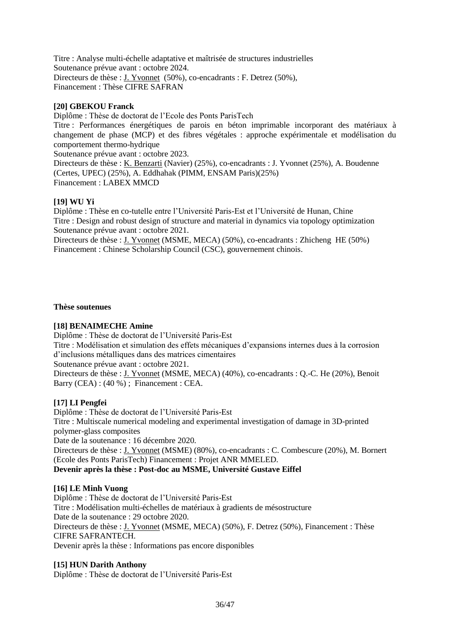Titre : Analyse multi-échelle adaptative et maîtrisée de structures industrielles Soutenance prévue avant : octobre 2024. Directeurs de thèse : J. Yvonnet (50%), co-encadrants : F. Detrez (50%), Financement : Thèse CIFRE SAFRAN

## **[20] GBEKOU Franck**

Diplôme : Thèse de doctorat de l'Ecole des Ponts ParisTech

Titre : Performances énergétiques de parois en béton imprimable incorporant des matériaux à changement de phase (MCP) et des fibres végétales : approche expérimentale et modélisation du comportement thermo-hydrique

Soutenance prévue avant : octobre 2023.

Directeurs de thèse : K. Benzarti (Navier) (25%), co-encadrants : J. Yvonnet (25%), A. Boudenne (Certes, UPEC) (25%), A. Eddhahak (PIMM, ENSAM Paris)(25%) Financement : LABEX MMCD

#### **[19] WU Yi**

Diplôme : Thèse en co-tutelle entre l'Université Paris-Est et l'Université de Hunan, Chine Titre : Design and robust design of structure and material in dynamics via topology optimization Soutenance prévue avant : octobre 2021.

Directeurs de thèse : J. Yvonnet (MSME, MECA) (50%), co-encadrants : Zhicheng HE (50%) Financement : Chinese Scholarship Council (CSC), gouvernement chinois.

#### **Thèse soutenues**

#### **[18] BENAIMECHE Amine**

Diplôme : Thèse de doctorat de l'Université Paris-Est

Titre : Modélisation et simulation des effets mécaniques d'expansions internes dues à la corrosion d'inclusions métalliques dans des matrices cimentaires

Soutenance prévue avant : octobre 2021.

Directeurs de thèse : J. Yvonnet (MSME, MECA) (40%), co-encadrants : Q.-C. He (20%), Benoit Barry (CEA) : (40 %) ; Financement : CEA.

#### **[17] LI Pengfei**

Diplôme : Thèse de doctorat de l'Université Paris-Est Titre : Multiscale numerical modeling and experimental investigation of damage in 3D-printed polymer-glass composites

Date de la soutenance : 16 décembre 2020.

Directeurs de thèse : J. Yvonnet (MSME) (80%), co-encadrants : C. Combescure (20%), M. Bornert (Ecole des Ponts ParisTech) Financement : Projet ANR MMELED.

#### **Devenir après la thèse : Post-doc au MSME, Université Gustave Eiffel**

#### **[16] LE Minh Vuong**

Diplôme : Thèse de doctorat de l'Université Paris-Est Titre : Modélisation multi-échelles de matériaux à gradients de mésostructure Date de la soutenance : 29 octobre 2020. Directeurs de thèse : J. Yvonnet (MSME, MECA) (50%), F. Detrez (50%), Financement : Thèse CIFRE SAFRANTECH. Devenir après la thèse : Informations pas encore disponibles

#### **[15] HUN Darith Anthony**

Diplôme : Thèse de doctorat de l'Université Paris-Est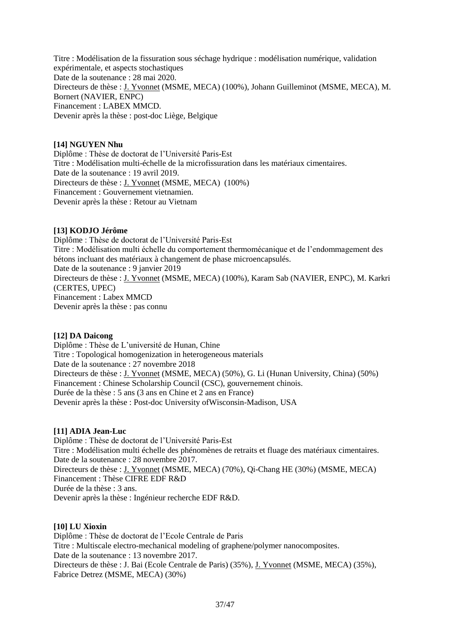Titre : Modélisation de la fissuration sous séchage hydrique : modélisation numérique, validation expérimentale, et aspects stochastiques Date de la soutenance : 28 mai 2020. Directeurs de thèse : J. Yvonnet (MSME, MECA) (100%), Johann Guilleminot (MSME, MECA), M. Bornert (NAVIER, ENPC) Financement : LABEX MMCD. Devenir après la thèse : post-doc Liège, Belgique

#### **[14] NGUYEN Nhu**

Diplôme : Thèse de doctorat de l'Université Paris-Est Titre : Modélisation multi-échelle de la microfissuration dans les matériaux cimentaires. Date de la soutenance : 19 avril 2019. Directeurs de thèse : J. Yvonnet (MSME, MECA) (100%) Financement : Gouvernement vietnamien. Devenir après la thèse : Retour au Vietnam

#### **[13] KODJO Jérôme**

Diplôme : Thèse de doctorat de l'Université Paris-Est Titre : Modélisation multi échelle du comportement thermomécanique et de l'endommagement des bétons incluant des matériaux à changement de phase microencapsulés. Date de la soutenance : 9 janvier 2019 Directeurs de thèse : J. Yvonnet (MSME, MECA) (100%), Karam Sab (NAVIER, ENPC), M. Karkri (CERTES, UPEC) Financement : Labex MMCD Devenir après la thèse : pas connu

#### **[12] DA Daicong**

Diplôme : Thèse de L'université de Hunan, Chine Titre : Topological homogenization in heterogeneous materials Date de la soutenance : 27 novembre 2018 Directeurs de thèse : J. Yvonnet (MSME, MECA) (50%), G. Li (Hunan University, China) (50%) Financement : Chinese Scholarship Council (CSC), gouvernement chinois. Durée de la thèse : 5 ans (3 ans en Chine et 2 ans en France) Devenir après la thèse : Post-doc University ofWisconsin-Madison, USA

#### **[11] ADIA Jean-Luc**

Diplôme : Thèse de doctorat de l'Université Paris-Est Titre : Modélisation multi échelle des phénomènes de retraits et fluage des matériaux cimentaires. Date de la soutenance : 28 novembre 2017. Directeurs de thèse : J. Yvonnet (MSME, MECA) (70%), Qi-Chang HE (30%) (MSME, MECA) Financement : Thèse CIFRE EDF R&D Durée de la thèse : 3 ans. Devenir après la thèse : Ingénieur recherche EDF R&D.

#### **[10] LU Xioxin**

Diplôme : Thèse de doctorat de l'Ecole Centrale de Paris Titre : Multiscale electro-mechanical modeling of graphene/polymer nanocomposites. Date de la soutenance : 13 novembre 2017. Directeurs de thèse : J. Bai (Ecole Centrale de Paris) (35%), J. Yvonnet (MSME, MECA) (35%), Fabrice Detrez (MSME, MECA) (30%)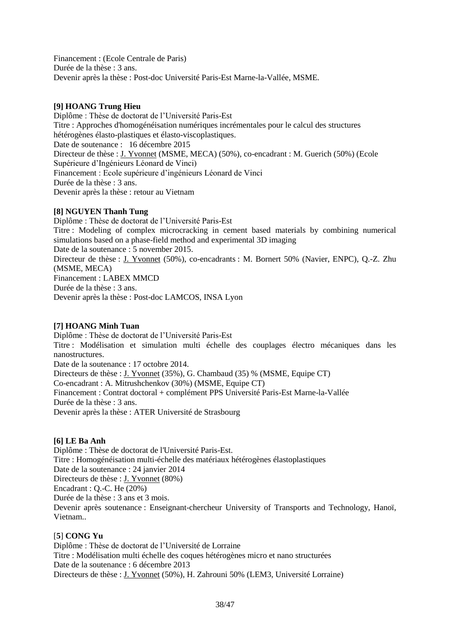Financement : (Ecole Centrale de Paris) Durée de la thèse : 3 ans. Devenir après la thèse : Post-doc Université Paris-Est Marne-la-Vallée, MSME.

## **[9] HOANG Trung Hieu**

Diplôme : Thèse de doctorat de l'Université Paris-Est Titre : Approches d'homogénéisation numériques incrémentales pour le calcul des structures hétérogènes élasto-plastiques et élasto-viscoplastiques. Date de soutenance : 16 décembre 2015 Directeur de thèse : J. Yvonnet (MSME, MECA) (50%), co-encadrant : M. Guerich (50%) (Ecole Supérieure d'Ingénieurs Léonard de Vinci) Financement : Ecole supérieure d'ingénieurs Léonard de Vinci Durée de la thèse : 3 ans. Devenir après la thèse : retour au Vietnam

## **[8] NGUYEN Thanh Tung**

Diplôme : Thèse de doctorat de l'Université Paris-Est Titre : Modeling of complex microcracking in cement based materials by combining numerical simulations based on a phase-field method and experimental 3D imaging Date de la soutenance : 5 november 2015. Directeur de thèse : J. Yvonnet (50%), co-encadrants : M. Bornert 50% (Navier, ENPC), Q.-Z. Zhu (MSME, MECA) Financement : LABEX MMCD Durée de la thèse : 3 ans. Devenir après la thèse : Post-doc LAMCOS, INSA Lyon

## **[7] HOANG Minh Tuan**

Diplôme : Thèse de doctorat de l'Université Paris-Est Titre : Modélisation et simulation multi échelle des couplages électro mécaniques dans les nanostructures. Date de la soutenance : 17 octobre 2014. Directeurs de thèse : J. Yvonnet (35%), G. Chambaud (35) % (MSME, Equipe CT) Co-encadrant : A. Mitrushchenkov (30%) (MSME, Equipe CT) Financement : Contrat doctoral + complément PPS Université Paris-Est Marne-la-Vallée Durée de la thèse : 3 ans. Devenir après la thèse : ATER Université de Strasbourg

## **[6] LE Ba Anh**

Diplôme : Thèse de doctorat de l'Université Paris-Est. Titre : Homogénéisation multi-échelle des matériaux hétérogènes élastoplastiques Date de la soutenance : 24 janvier 2014 Directeurs de thèse : J. Yvonnet (80%) Encadrant : Q.-C. He (20%) Durée de la thèse : 3 ans et 3 mois. Devenir après soutenance : Enseignant-chercheur University of Transports and Technology, Hanoï, Vietnam..

## [**5**] **CONG Yu**

Diplôme : Thèse de doctorat de l'Université de Lorraine Titre : Modélisation multi échelle des coques hétérogènes micro et nano structurées Date de la soutenance : 6 décembre 2013 Directeurs de thèse : J. Yvonnet (50%), H. Zahrouni 50% (LEM3, Université Lorraine)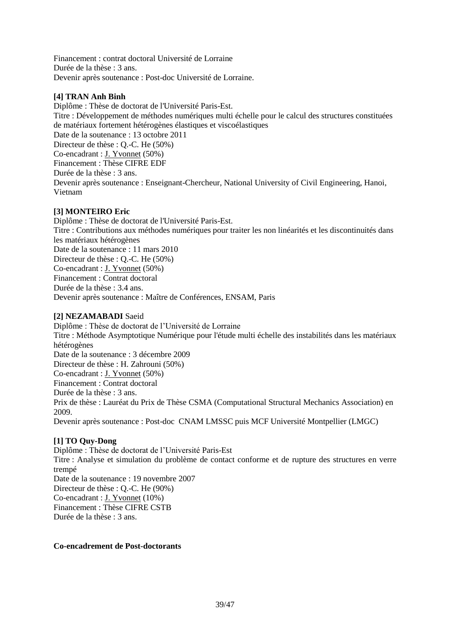Financement : contrat doctoral Université de Lorraine Durée de la thèse : 3 ans. Devenir après soutenance : Post-doc Université de Lorraine.

## **[4] TRAN Anh Binh**

Diplôme : Thèse de doctorat de l'Université Paris-Est. Titre : Développement de méthodes numériques multi échelle pour le calcul des structures constituées de matériaux fortement hétérogènes élastiques et viscoélastiques Date de la soutenance : 13 octobre 2011 Directeur de thèse : Q.-C. He (50%) Co-encadrant : J. Yvonnet (50%) Financement : Thèse CIFRE EDF Durée de la thèse : 3 ans. Devenir après soutenance : Enseignant-Chercheur, National University of Civil Engineering, Hanoi, Vietnam

## **[3] MONTEIRO Eric**

Diplôme : Thèse de doctorat de l'Université Paris-Est. Titre : Contributions aux méthodes numériques pour traiter les non linéarités et les discontinuités dans les matériaux hétérogènes Date de la soutenance : 11 mars 2010 Directeur de thèse : Q.-C. He (50%) Co-encadrant : J. Yvonnet (50%) Financement : Contrat doctoral Durée de la thèse : 3.4 ans. Devenir après soutenance : Maître de Conférences, ENSAM, Paris

## **[2] NEZAMABADI** Saeid

Diplôme : Thèse de doctorat de l'Université de Lorraine Titre : Méthode Asymptotique Numérique pour l'étude multi échelle des instabilités dans les matériaux hétérogènes Date de la soutenance : 3 décembre 2009 Directeur de thèse : H. Zahrouni (50%) Co-encadrant : J. Yvonnet (50%) Financement : Contrat doctoral Durée de la thèse : 3 ans. Prix de thèse : Lauréat du Prix de Thèse CSMA (Computational Structural Mechanics Association) en 2009. Devenir après soutenance : Post-doc CNAM LMSSC puis MCF Université Montpellier (LMGC)

#### **[1] TO Quy-Dong**

Diplôme : Thèse de doctorat de l'Université Paris-Est Titre : Analyse et simulation du problème de contact conforme et de rupture des structures en verre trempé Date de la soutenance : 19 novembre 2007 Directeur de thèse : Q.-C. He (90%) Co-encadrant : J. Yvonnet (10%) Financement : Thèse CIFRE CSTB Durée de la thèse : 3 ans.

#### **Co-encadrement de Post-doctorants**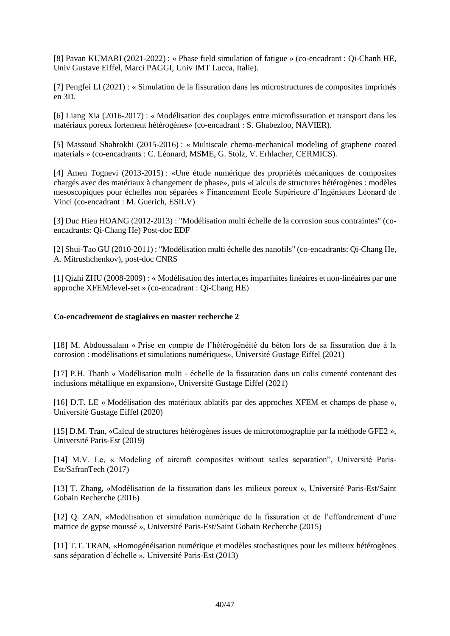[8] Pavan KUMARI (2021-2022) : « Phase field simulation of fatigue » (co-encadrant : Qi-Chanh HE, Univ Gustave Eiffel, Marci PAGGI, Univ IMT Lucca, Italie).

[7] Pengfei LI (2021) : « Simulation de la fissuration dans les microstructures de composites imprimés en 3D.

[6] Liang Xia (2016-2017) : « Modélisation des couplages entre microfissuration et transport dans les matériaux poreux fortement hétérogènes» (co-encadrant : S. Ghabezloo, NAVIER).

[5] Massoud Shahrokhi (2015-2016) : « Multiscale chemo-mechanical modeling of graphene coated materials » (co-encadrants : C. Léonard, MSME, G. Stolz, V. Erhlacher, CERMICS).

[4] Amen Tognevi (2013-2015) : «Une étude numérique des propriétés mécaniques de composites chargés avec des matériaux à changement de phase», puis «Calculs de structures hétérogènes : modèles mesoscopiques pour échelles non séparées » Financement Ecole Supérieure d'Ingénieurs Léonard de Vinci (co-encadrant : M. Guerich, ESILV)

[3] Duc Hieu HOANG (2012-2013) : "Modélisation multi échelle de la corrosion sous contraintes" (coencadrants: Qi-Chang He) Post-doc EDF

[2] Shui-Tao GU (2010-2011) : "Modélisation multi échelle des nanofils" (co-encadrants: Qi-Chang He, A. Mitrushchenkov), post-doc CNRS

[1] Qizhi ZHU (2008-2009) : « Modélisation des interfaces imparfaites linéaires et non-linéaires par une approche XFEM/level-set » (co-encadrant : Qi-Chang HE)

#### **Co-encadrement de stagiaires en master recherche 2**

[18] M. Abdoussalam « Prise en compte de l'hétérogénéité du béton lors de sa fissuration due à la corrosion : modélisations et simulations numériques», Université Gustage Eiffel (2021)

[17] P.H. Thanh « Modélisation multi - échelle de la fissuration dans un colis cimenté contenant des inclusions métallique en expansion», Université Gustage Eiffel (2021)

[16] D.T. LE « Modélisation des matériaux ablatifs par des approches XFEM et champs de phase », Université Gustage Eiffel (2020)

[15] D.M. Tran, «Calcul de structures hétérogènes issues de microtomographie par la méthode GFE2 », Université Paris-Est (2019)

[14] M.V. Le, « Modeling of aircraft composites without scales separation", Université Paris-Est/SafranTech (2017)

[13] T. Zhang, «Modélisation de la fissuration dans les milieux poreux », Université Paris-Est/Saint Gobain Recherche (2016)

[12] Q. ZAN, «Modélisation et simulation numérique de la fissuration et de l'effondrement d'une matrice de gypse moussé », Université Paris-Est/Saint Gobain Recherche (2015)

[11] T.T. TRAN, «Homogénéisation numérique et modèles stochastiques pour les milieux hétérogènes sans séparation d'échelle », Université Paris-Est (2013)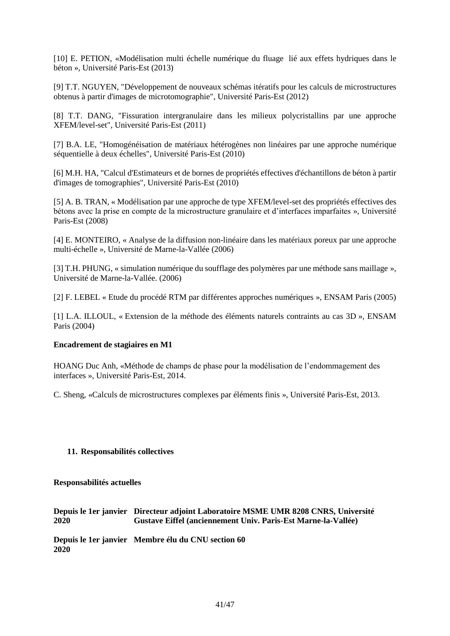[10] E. PETION, «Modélisation multi échelle numérique du fluage lié aux effets hydriques dans le béton », Université Paris-Est (2013)

[9] T.T. NGUYEN, "Développement de nouveaux schémas itératifs pour les calculs de microstructures obtenus à partir d'images de microtomographie", Université Paris-Est (2012)

[8] T.T. DANG, "Fissuration intergranulaire dans les milieux polycristallins par une approche XFEM/level-set", Université Paris-Est (2011)

[7] B.A. LE, "Homogénéisation de matériaux hétérogènes non linéaires par une approche numérique séquentielle à deux échelles", Université Paris-Est (2010)

[6] M.H. HA, "Calcul d'Estimateurs et de bornes de propriétés effectives d'échantillons de béton à partir d'images de tomographies", Université Paris-Est (2010)

[5] A. B. TRAN, « Modélisation par une approche de type XFEM/level-set des propriétés effectives des bétons avec la prise en compte de la microstructure granulaire et d'interfaces imparfaites », Université Paris-Est (2008)

[4] E. MONTEIRO, « Analyse de la diffusion non-linéaire dans les matériaux poreux par une approche multi-échelle », Université de Marne-la-Vallée (2006)

[3] T.H. PHUNG, « simulation numérique du soufflage des polymères par une méthode sans maillage », Université de Marne-la-Vallée. (2006)

[2] F. LEBEL « Etude du procédé RTM par différentes approches numériques », ENSAM Paris (2005)

[1] L.A. ILLOUL, « Extension de la méthode des éléments naturels contraints au cas 3D », ENSAM Paris (2004)

#### **Encadrement de stagiaires en M1**

HOANG Duc Anh, «Méthode de champs de phase pour la modélisation de l'endommagement des interfaces », Université Paris-Est, 2014.

C. Sheng, «Calculs de microstructures complexes par éléments finis », Université Paris-Est, 2013.

#### **11. Responsabilités collectives**

**Responsabilités actuelles**

**Depuis le 1er janvier Directeur adjoint Laboratoire MSME UMR 8208 CNRS, Université 2020 Gustave Eiffel (anciennement Univ. Paris-Est Marne-la-Vallée)**

**Depuis le 1er janvier Membre élu du CNU section 60 2020**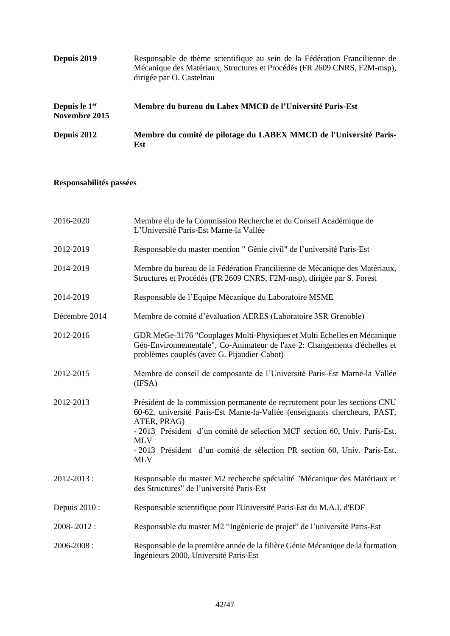| Depuis 2019                                | Responsable de thème scientifique au sein de la Fédération Francilienne de<br>Mécanique des Matériaux, Structures et Procédés (FR 2609 CNRS, F2M-msp),<br>dirigée par O. Castelnau |
|--------------------------------------------|------------------------------------------------------------------------------------------------------------------------------------------------------------------------------------|
| Depuis le 1 <sup>er</sup><br>Novembre 2015 | Membre du bureau du Labex MMCD de l'Université Paris-Est                                                                                                                           |
| Depuis 2012                                | Membre du comité de pilotage du LABEX MMCD de l'Université Paris-<br>Est                                                                                                           |

## **Responsabilités passées**

| 2016-2020     | Membre élu de la Commission Recherche et du Conseil Académique de<br>L'Université Paris-Est Marne-la Vallée                                                                                                                                           |
|---------------|-------------------------------------------------------------------------------------------------------------------------------------------------------------------------------------------------------------------------------------------------------|
| 2012-2019     | Responsable du master mention " Génie civil" de l'université Paris-Est                                                                                                                                                                                |
| 2014-2019     | Membre du bureau de la Fédération Francilienne de Mécanique des Matériaux,<br>Structures et Procédés (FR 2609 CNRS, F2M-msp), dirigée par S. Forest                                                                                                   |
| 2014-2019     | Responsable de l'Equipe Mécanique du Laboratoire MSME                                                                                                                                                                                                 |
| Décembre 2014 | Membre de comité d'évaluation AERES (Laboratoire 3SR Grenoble)                                                                                                                                                                                        |
| 2012-2016     | GDR MeGe-3176 "Couplages Multi-Physiques et Multi Echelles en Mécanique<br>Géo-Environnementale", Co-Animateur de l'axe 2: Changements d'échelles et<br>problèmes couplés (avec G. Pijaudier-Cabot)                                                   |
| 2012-2015     | Membre de conseil de composante de l'Université Paris-Est Marne-la Vallée<br>(IFSA)                                                                                                                                                                   |
| 2012-2013     | Président de la commission permanente de recrutement pour les sections CNU<br>60-62, université Paris-Est Marne-la-Vallée (enseignants chercheurs, PAST,<br>ATER, PRAG)<br>- 2013 Président d'un comité de sélection MCF section 60, Univ. Paris-Est. |
|               | <b>MLV</b><br>- 2013 Président d'un comité de sélection PR section 60, Univ. Paris-Est.<br><b>MLV</b>                                                                                                                                                 |
| 2012-2013:    | Responsable du master M2 recherche spécialité "Mécanique des Matériaux et<br>des Structures" de l'université Paris-Est                                                                                                                                |
| Depuis 2010 : | Responsable scientifique pour l'Université Paris-Est du M.A.I. d'EDF                                                                                                                                                                                  |
| 2008-2012:    | Responsable du master M2 "Ingénierie de projet" de l'université Paris-Est                                                                                                                                                                             |
| 2006-2008:    | Responsable de la première année de la filière Génie Mécanique de la formation<br>Ingénieurs 2000, Université Paris-Est                                                                                                                               |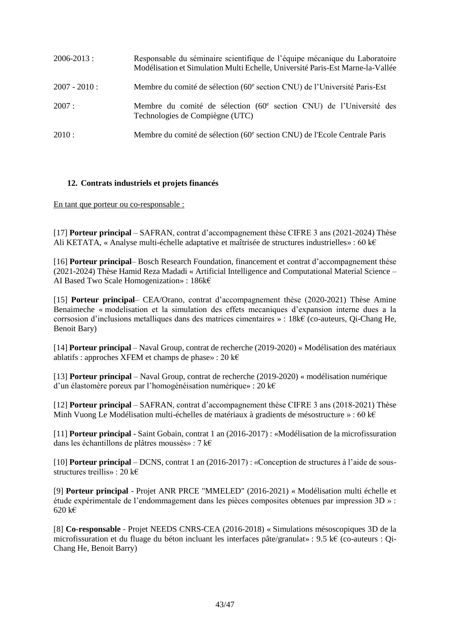| $2006 - 2013$ : | Responsable du séminaire scientifique de l'équipe mécanique du Laboratoire<br>Modélisation et Simulation Multi Echelle, Université Paris-Est Marne-la-Vallée |
|-----------------|--------------------------------------------------------------------------------------------------------------------------------------------------------------|
| $2007 - 2010$ : | Membre du comité de sélection (60 <sup>e</sup> section CNU) de l'Université Paris-Est                                                                        |
| 2007:           | Membre du comité de sélection (60 <sup>e</sup> section CNU) de l'Université des<br>Technologies de Compiègne (UTC)                                           |
| 2010:           | Membre du comité de sélection (60 <sup>e</sup> section CNU) de l'Ecole Centrale Paris                                                                        |

## **12. Contrats industriels et projets financés**

En tant que porteur ou co-responsable :

[17] **Porteur principal** – SAFRAN, contrat d'accompagnement thèse CIFRE 3 ans (2021-2024) Thèse Ali KETATA, « Analyse multi-échelle adaptative et maîtrisée de structures industrielles» : 60 k€

[16] **Porteur principal**– Bosch Research Foundation, financement et contrat d'accompagnement thèse (2021-2024) Thèse Hamid Reza Madadi « Artificial Intelligence and Computational Material Science – AI Based Two Scale Homogenization» : 186k€

[15] **Porteur principal**– CEA/Orano, contrat d'accompagnement thèse (2020-2021) Thèse Amine Benaimeche « modelisation et la simulation des effets mecaniques d'expansion interne dues a la corrsosion d'inclusions metalliques dans des matrices cimentaires » : 18k€ (co-auteurs, Qi-Chang He, Benoit Bary)

[14] **Porteur principal** – Naval Group, contrat de recherche (2019-2020) « Modélisation des matériaux ablatifs : approches XFEM et champs de phase» : 20 k $\epsilon$ 

[13] **Porteur principal** – Naval Group, contrat de recherche (2019-2020) « modélisation numérique d'un élastomère poreux par l'homogénéisation numérique» : 20 k€

[12] **Porteur principal** – SAFRAN, contrat d'accompagnement thèse CIFRE 3 ans (2018-2021) Thèse Minh Vuong Le Modélisation multi-échelles de matériaux à gradients de mésostructure » : 60 k€

[11] **Porteur principal** - Saint Gobain, contrat 1 an (2016-2017) : «Modélisation de la microfissuration dans les échantillons de plâtres moussés» : 7 k€

[10] **Porteur principal** – DCNS, contrat 1 an (2016-2017) : «Conception de structures à l'aide de sousstructures treillis» : 20 k€

[9] **Porteur principal** - Projet ANR PRCE "MMELED" (2016-2021) « Modélisation multi échelle et étude expérimentale de l'endommagement dans les pièces composites obtenues par impression 3D » : 620 k€

[8] **Co-responsable** - Projet NEEDS CNRS-CEA (2016-2018) « Simulations mésoscopiques 3D de la microfissuration et du fluage du béton incluant les interfaces pâte/granulat» : 9.5 k€ (co-auteurs : Qi-Chang He, Benoit Barry)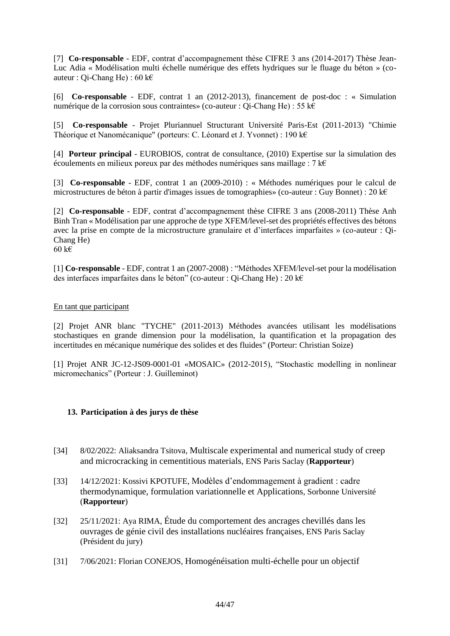[7] **Co-responsable** - EDF, contrat d'accompagnement thèse CIFRE 3 ans (2014-2017) Thèse Jean-Luc Adia « Modélisation multi échelle numérique des effets hydriques sur le fluage du béton » (coauteur : Qi-Chang He) : 60 k€

[6] **Co-responsable** - EDF, contrat 1 an (2012-2013), financement de post-doc : « Simulation numérique de la corrosion sous contraintes» (co-auteur : Qi-Chang He) : 55 k€

[5] **Co-responsable** - Projet Pluriannuel Structurant Université Paris-Est (2011-2013) "Chimie Théorique et Nanomécanique" (porteurs: C. Léonard et J. Yvonnet) : 190 k€

[4] **Porteur principal** - EUROBIOS, contrat de consultance, (2010) Expertise sur la simulation des écoulements en milieux poreux par des méthodes numériques sans maillage : 7 k€

[3] **Co-responsable** - EDF, contrat 1 an (2009-2010) : « Méthodes numériques pour le calcul de microstructures de béton à partir d'images issues de tomographies» (co-auteur : Guy Bonnet) : 20 k€

[2] **Co-responsable** - EDF, contrat d'accompagnement thèse CIFRE 3 ans (2008-2011) Thèse Anh Binh Tran « Modélisation par une approche de type XFEM/level-set des propriétés effectives des bétons avec la prise en compte de la microstructure granulaire et d'interfaces imparfaites » (co-auteur : Qi-Chang He) 60 k€

[1] **Co-responsable** - EDF, contrat 1 an (2007-2008) : "Méthodes XFEM/level-set pour la modélisation des interfaces imparfaites dans le béton" (co-auteur : Qi-Chang He) : 20 k€

#### En tant que participant

[2] Projet ANR blanc "TYCHE" (2011-2013) Méthodes avancées utilisant les modélisations stochastiques en grande dimension pour la modélisation, la quantification et la propagation des incertitudes en mécanique numérique des solides et des fluides" (Porteur: Christian Soize)

[1] Projet ANR JC-12-JS09-0001-01 «MOSAIC» (2012-2015), "Stochastic modelling in nonlinear micromechanics" (Porteur : J. Guilleminot)

#### **13. Participation à des jurys de thèse**

- [34] 8/02/2022: Aliaksandra Tsitova, Multiscale experimental and numerical study of creep and microcracking in cementitious materials, ENS Paris Saclay (**Rapporteur**)
- [33] 14/12/2021: Kossivi KPOTUFE, Modèles d'endommagement à gradient : cadre thermodynamique, formulation variationnelle et Applications, Sorbonne Université (**Rapporteur**)
- [32] 25/11/2021: Aya RIMA, Étude du comportement des ancrages chevillés dans les ouvrages de génie civil des installations nucléaires françaises, ENS Paris Saclay (Président du jury)
- [31] 7/06/2021: Florian CONEJOS, Homogénéisation multi-échelle pour un objectif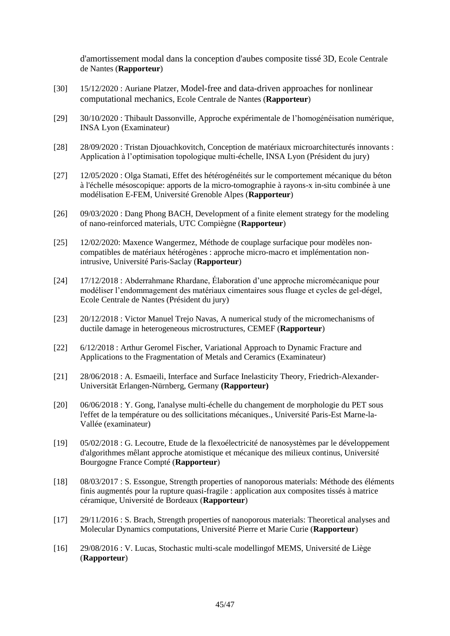d'amortissement modal dans la conception d'aubes composite tissé 3D, Ecole Centrale de Nantes (**Rapporteur**)

- [30] 15/12/2020 : Auriane Platzer, Model-free and data-driven approaches for nonlinear computational mechanics, Ecole Centrale de Nantes (**Rapporteur**)
- [29] 30/10/2020 : Thibault Dassonville, Approche expérimentale de l'homogénéisation numérique, INSA Lyon (Examinateur)
- [28] 28/09/2020 : Tristan Djouachkovitch, Conception de matériaux microarchitecturés innovants : Application à l'optimisation topologique multi-échelle, INSA Lyon (Président du jury)
- [27] 12/05/2020 : Olga Stamati, Effet des hétérogénéités sur le comportement mécanique du béton à l'échelle mésoscopique: apports de la micro-tomographie à rayons-x in-situ combinée à une modélisation E-FEM, Université Grenoble Alpes (**Rapporteur**)
- [26] 09/03/2020 : Dang Phong BACH, Development of a finite element strategy for the modeling of nano-reinforced materials, UTC Compiègne (**Rapporteur**)
- [25] 12/02/2020: Maxence Wangermez, Méthode de couplage surfacique pour modèles noncompatibles de matériaux hétérogènes : approche micro-macro et implémentation nonintrusive, Université Paris-Saclay (**Rapporteur**)
- [24] 17/12/2018 : Abderrahmane Rhardane, Élaboration d'une approche micromécanique pour modéliser l'endommagement des matériaux cimentaires sous fluage et cycles de gel-dégel, Ecole Centrale de Nantes (Président du jury)
- [23] 20/12/2018 : Victor Manuel Trejo Navas, A numerical study of the micromechanisms of ductile damage in heterogeneous microstructures, CEMEF (**Rapporteur**)
- [22] 6/12/2018 : Arthur Geromel Fischer, Variational Approach to Dynamic Fracture and Applications to the Fragmentation of Metals and Ceramics (Examinateur)
- [21] 28/06/2018 : A. Esmaeili, Interface and Surface Inelasticity Theory, Friedrich-Alexander-Universität Erlangen-Nürnberg, Germany **(Rapporteur)**
- [20] 06/06/2018 : Y. Gong, l'analyse multi-échelle du changement de morphologie du PET sous l'effet de la température ou des sollicitations mécaniques., Université Paris-Est Marne-la-Vallée (examinateur)
- [19] 05/02/2018 : G. Lecoutre, Etude de la flexoélectricité de nanosystèmes par le développement d'algorithmes mêlant approche atomistique et mécanique des milieux continus, Université Bourgogne France Compté (**Rapporteur**)
- [18] 08/03/2017 : S. Essongue, Strength properties of nanoporous materials: Méthode des éléments finis augmentés pour la rupture quasi-fragile : application aux composites tissés à matrice céramique, Université de Bordeaux (**Rapporteur**)
- [17] 29/11/2016 : S. Brach, Strength properties of nanoporous materials: Theoretical analyses and Molecular Dynamics computations, Université Pierre et Marie Curie (**Rapporteur**)
- [16] 29/08/2016 : V. Lucas, Stochastic multi-scale modellingof MEMS, Université de Liège (**Rapporteur**)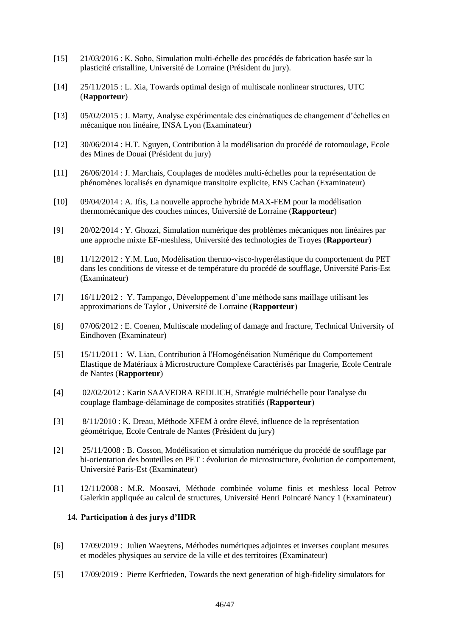- [15] 21/03/2016 : K. Soho, Simulation multi-échelle des procédés de fabrication basée sur la plasticité cristalline, Université de Lorraine (Président du jury).
- [14] 25/11/2015 : L. Xia, Towards optimal design of multiscale nonlinear structures, UTC (**Rapporteur**)
- [13] 05/02/2015 : J. Marty, Analyse expérimentale des cinématiques de changement d'échelles en mécanique non linéaire, INSA Lyon (Examinateur)
- [12] 30/06/2014 : H.T. Nguyen, Contribution à la modélisation du procédé de rotomoulage, Ecole des Mines de Douai (Président du jury)
- [11] 26/06/2014 : J. Marchais, Couplages de modèles multi-échelles pour la représentation de phénomènes localisés en dynamique transitoire explicite, ENS Cachan (Examinateur)
- [10] 09/04/2014 : A. Ifis, La nouvelle approche hybride MAX-FEM pour la modélisation thermomécanique des couches minces, Université de Lorraine (**Rapporteur**)
- [9] 20/02/2014 : Y. Ghozzi, Simulation numérique des problèmes mécaniques non linéaires par une approche mixte EF-meshless, Université des technologies de Troyes (**Rapporteur**)
- [8] 11/12/2012 : Y.M. Luo, Modélisation thermo-visco-hyperélastique du comportement du PET dans les conditions de vitesse et de température du procédé de soufflage, Université Paris-Est (Examinateur)
- [7] 16/11/2012 : Y. Tampango, Développement d'une méthode sans maillage utilisant les approximations de Taylor , Université de Lorraine (**Rapporteur**)
- [6] 07/06/2012 : E. Coenen, Multiscale modeling of damage and fracture, Technical University of Eindhoven (Examinateur)
- [5] 15/11/2011 : W. Lian, Contribution à l'Homogénéisation Numérique du Comportement Elastique de Matériaux à Microstructure Complexe Caractérisés par Imagerie, Ecole Centrale de Nantes (**Rapporteur**)
- [4] 02/02/2012 : Karin SAAVEDRA REDLICH, Stratégie multiéchelle pour l'analyse du couplage flambage-délaminage de composites stratifiés (**Rapporteur**)
- [3] 8/11/2010 : K. Dreau, Méthode XFEM à ordre élevé, influence de la représentation géométrique, Ecole Centrale de Nantes (Président du jury)
- [2] 25/11/2008 : B. Cosson, Modélisation et simulation numérique du procédé de soufflage par bi-orientation des bouteilles en PET : évolution de microstructure, évolution de comportement, Université Paris-Est (Examinateur)
- [1] 12/11/2008 : M.R. Moosavi, Méthode combinée volume finis et meshless local Petrov Galerkin appliquée au calcul de structures, Université Henri Poincaré Nancy 1 (Examinateur)

## **14. Participation à des jurys d'HDR**

- [6] 17/09/2019 : Julien Waeytens, Méthodes numériques adjointes et inverses couplant mesures et modèles physiques au service de la ville et des territoires (Examinateur)
- [5] 17/09/2019 : Pierre Kerfrieden, Towards the next generation of high-fidelity simulators for